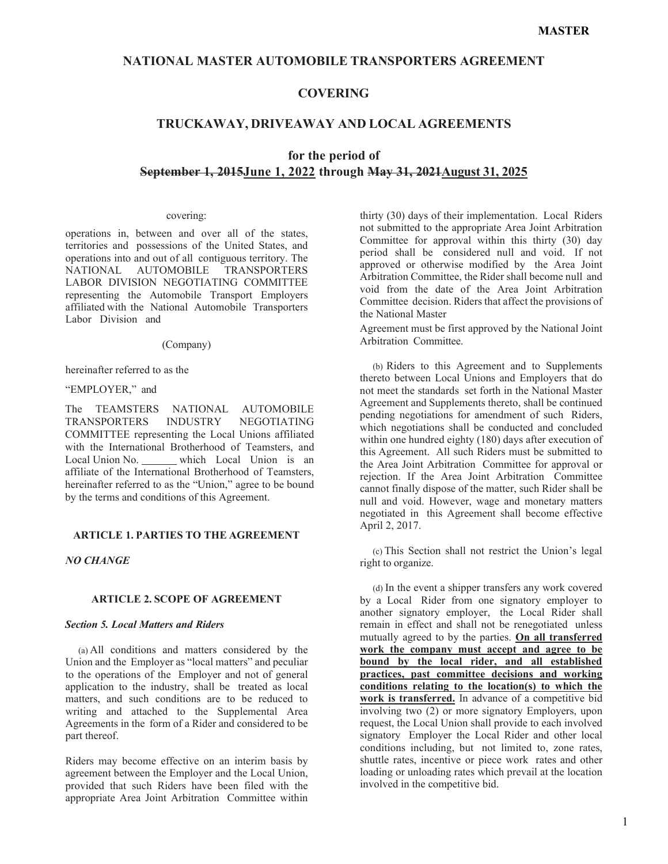## **NATIONAL MASTER AUTOMOBILE TRANSPORTERS AGREEMENT**

## **COVERING**

## **TRUCKAWAY, DRIVEAWAY AND LOCAL AGREEMENTS**

# **for the period of September 1, 2015June 1, 2022 through May 31, 2021August 31, 2025**

#### covering:

operations in, between and over all of the states, territories and possessions of the United States, and operations into and out of all contiguous territory. The NATIONAL AUTOMOBILE TRANSPORTERS LABOR DIVISION NEGOTIATING COMMITTEE representing the Automobile Transport Employers affiliated with the National Automobile Transporters Labor Division and

#### (Company)

hereinafter referred to as the

## "EMPLOYER," and

The TEAMSTERS NATIONAL AUTOMOBILE TRANSPORTERS INDUSTRY NEGOTIATING COMMITTEE representing the Local Unions affiliated with the International Brotherhood of Teamsters, and Local Union No. which Local Union is an affiliate of the International Brotherhood of Teamsters, hereinafter referred to as the "Union," agree to be bound by the terms and conditions of this Agreement.

#### **ARTICLE 1. PARTIES TO THE AGREEMENT**

### *NO CHANGE*

#### **ARTICLE 2. SCOPE OF AGREEMENT**

#### *Section 5. Local Matters and Riders*

(a) All conditions and matters considered by the Union and the Employer as "local matters" and peculiar to the operations of the Employer and not of general application to the industry, shall be treated as local matters, and such conditions are to be reduced to writing and attached to the Supplemental Area Agreements in the form of a Rider and considered to be part thereof.

Riders may become effective on an interim basis by agreement between the Employer and the Local Union, provided that such Riders have been filed with the appropriate Area Joint Arbitration Committee within

thirty (30) days of their implementation. Local Riders not submitted to the appropriate Area Joint Arbitration Committee for approval within this thirty (30) day period shall be considered null and void. If not approved or otherwise modified by the Area Joint Arbitration Committee, the Rider shall become null and void from the date of the Area Joint Arbitration Committee decision. Riders that affect the provisions of the National Master

Agreement must be first approved by the National Joint Arbitration Committee.

(b) Riders to this Agreement and to Supplements thereto between Local Unions and Employers that do not meet the standards set forth in the National Master Agreement and Supplements thereto, shall be continued pending negotiations for amendment of such Riders, which negotiations shall be conducted and concluded within one hundred eighty (180) days after execution of this Agreement. All such Riders must be submitted to the Area Joint Arbitration Committee for approval or rejection. If the Area Joint Arbitration Committee cannot finally dispose of the matter, such Rider shall be null and void. However, wage and monetary matters negotiated in this Agreement shall become effective April 2, 2017.

(c) This Section shall not restrict the Union's legal right to organize.

(d) In the event a shipper transfers any work covered by a Local Rider from one signatory employer to another signatory employer, the Local Rider shall remain in effect and shall not be renegotiated unless mutually agreed to by the parties. **On all transferred work the company must accept and agree to be bound by the local rider, and all established practices, past committee decisions and working conditions relating to the location(s) to which the work is transferred.** In advance of a competitive bid involving two (2) or more signatory Employers, upon request, the Local Union shall provide to each involved signatory Employer the Local Rider and other local conditions including, but not limited to, zone rates, shuttle rates, incentive or piece work rates and other loading or unloading rates which prevail at the location involved in the competitive bid.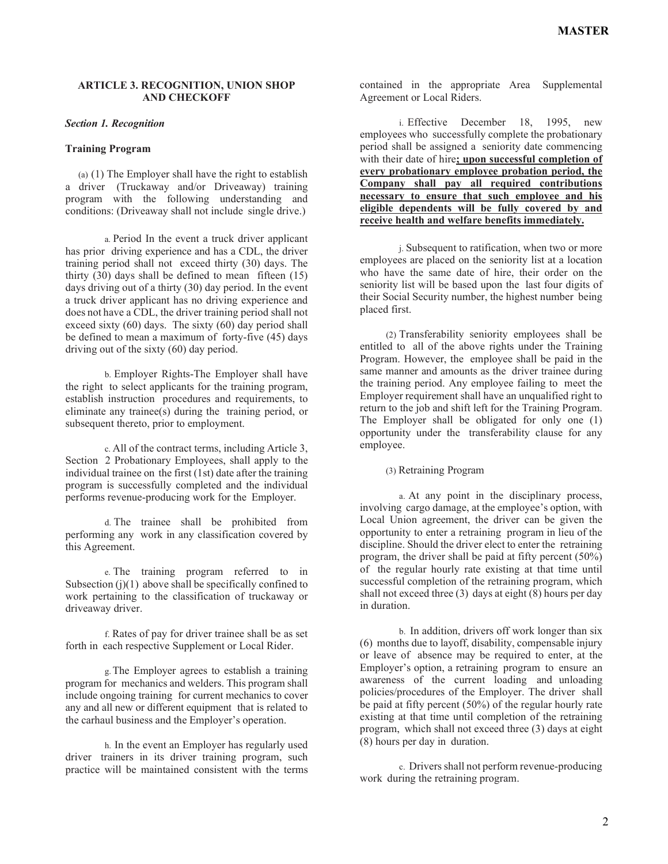## **ARTICLE 3. RECOGNITION, UNION SHOP AND CHECKOFF**

#### *Section 1. Recognition*

#### **Training Program**

(a) (1) The Employer shall have the right to establish a driver (Truckaway and/or Driveaway) training program with the following understanding and conditions: (Driveaway shall not include single drive.)

a. Period In the event a truck driver applicant has prior driving experience and has a CDL, the driver training period shall not exceed thirty (30) days. The thirty  $(30)$  days shall be defined to mean fifteen  $(15)$ days driving out of a thirty (30) day period. In the event a truck driver applicant has no driving experience and does not have a CDL, the driver training period shall not exceed sixty  $(60)$  days. The sixty  $(60)$  day period shall be defined to mean a maximum of forty-five (45) days driving out of the sixty (60) day period.

b. Employer Rights-The Employer shall have the right to select applicants for the training program, establish instruction procedures and requirements, to eliminate any trainee(s) during the training period, or subsequent thereto, prior to employment.

c. All of the contract terms, including Article 3, Section 2 Probationary Employees, shall apply to the individual trainee on the first (1st) date after the training program is successfully completed and the individual performs revenue-producing work for the Employer.

d. The trainee shall be prohibited from performing any work in any classification covered by this Agreement.

e. The training program referred to in Subsection  $(i)(1)$  above shall be specifically confined to work pertaining to the classification of truckaway or driveaway driver.

f. Rates of pay for driver trainee shall be as set forth in each respective Supplement or Local Rider.

g.The Employer agrees to establish a training program for mechanics and welders. This program shall include ongoing training for current mechanics to cover any and all new or different equipment that is related to the carhaul business and the Employer's operation.

h. In the event an Employer has regularly used driver trainers in its driver training program, such practice will be maintained consistent with the terms

contained in the appropriate Area Supplemental Agreement or Local Riders.

i. Effective December 18, 1995, new employees who successfully complete the probationary period shall be assigned a seniority date commencing with their date of hire**; upon successful completion of every probationary employee probation period, the Company shall pay all required contributions necessary to ensure that such employee and his eligible dependents will be fully covered by and receive health and welfare benefits immediately.**

j. Subsequent to ratification, when two or more employees are placed on the seniority list at a location who have the same date of hire, their order on the seniority list will be based upon the last four digits of their Social Security number, the highest number being placed first.

(2) Transferability seniority employees shall be entitled to all of the above rights under the Training Program. However, the employee shall be paid in the same manner and amounts as the driver trainee during the training period. Any employee failing to meet the Employer requirement shall have an unqualified right to return to the job and shift left for the Training Program. The Employer shall be obligated for only one (1) opportunity under the transferability clause for any employee.

(3) Retraining Program

a. At any point in the disciplinary process, involving cargo damage, at the employee's option, with Local Union agreement, the driver can be given the opportunity to enter a retraining program in lieu of the discipline. Should the driver elect to enter the retraining program, the driver shall be paid at fifty percent (50%) of the regular hourly rate existing at that time until successful completion of the retraining program, which shall not exceed three (3) days at eight (8) hours per day in duration.

b. In addition, drivers off work longer than six (6) months due to layoff, disability, compensable injury or leave of absence may be required to enter, at the Employer's option, a retraining program to ensure an awareness of the current loading and unloading policies/procedures of the Employer. The driver shall be paid at fifty percent (50%) of the regular hourly rate existing at that time until completion of the retraining program, which shall not exceed three (3) days at eight (8) hours per day in duration.

c. Drivers shall not perform revenue-producing work during the retraining program.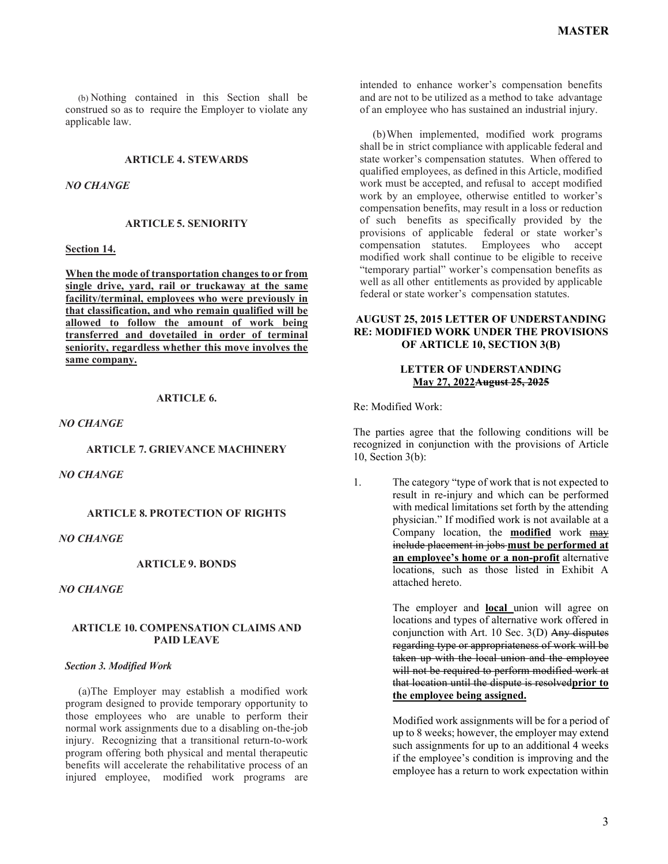(b) Nothing contained in this Section shall be construed so as to require the Employer to violate any applicable law.

### **ARTICLE 4. STEWARDS**

#### *NO CHANGE*

### **ARTICLE 5. SENIORITY**

#### **Section 14.**

**When the mode of transportation changes to or from single drive, yard, rail or truckaway at the same facility/terminal, employees who were previously in that classification, and who remain qualified will be allowed to follow the amount of work being transferred and dovetailed in order of terminal seniority, regardless whether this move involves the same company.**

#### **ARTICLE 6.**

*NO CHANGE*

#### **ARTICLE 7. GRIEVANCE MACHINERY**

*NO CHANGE*

### **ARTICLE 8. PROTECTION OF RIGHTS**

## *NO CHANGE*

## **ARTICLE 9. BONDS**

*NO CHANGE*

#### **ARTICLE 10. COMPENSATION CLAIMS AND PAID LEAVE**

#### *Section 3. Modified Work*

(a)The Employer may establish a modified work program designed to provide temporary opportunity to those employees who are unable to perform their normal work assignments due to a disabling on-the-job injury. Recognizing that a transitional return-to-work program offering both physical and mental therapeutic benefits will accelerate the rehabilitative process of an injured employee, modified work programs are

intended to enhance worker's compensation benefits and are not to be utilized as a method to take advantage of an employee who has sustained an industrial injury.

(b)When implemented, modified work programs shall be in strict compliance with applicable federal and state worker's compensation statutes. When offered to qualified employees, as defined in this Article, modified work must be accepted, and refusal to accept modified work by an employee, otherwise entitled to worker's compensation benefits, may result in a loss or reduction of such benefits as specifically provided by the provisions of applicable federal or state worker's compensation statutes. Employees who accept modified work shall continue to be eligible to receive "temporary partial" worker's compensation benefits as well as all other entitlements as provided by applicable federal or state worker's compensation statutes.

## **AUGUST 25, 2015 LETTER OF UNDERSTANDING RE: MODIFIED WORK UNDER THE PROVISIONS OF ARTICLE 10, SECTION 3(B)**

## **LETTER OF UNDERSTANDING May 27, 2022August 25, 2025**

Re: Modified Work:

The parties agree that the following conditions will be recognized in conjunction with the provisions of Article 10, Section 3(b):

1. The category "type of work that is not expected to result in re-injury and which can be performed with medical limitations set forth by the attending physician." If modified work is not available at a Company location, the **modified** work may include placement in jobs **must be performed at an employee's home or a non-profit** alternative locations, such as those listed in Exhibit A attached hereto.

> The employer and **local** union will agree on locations and types of alternative work offered in conjunction with Art. 10 Sec. 3(D) Any disputes regarding type or appropriateness of work will be taken up with the local union and the employee will not be required to perform modified work at that location until the dispute is resolved**prior to the employee being assigned.**

> Modified work assignments will be for a period of up to 8 weeks; however, the employer may extend such assignments for up to an additional 4 weeks if the employee's condition is improving and the employee has a return to work expectation within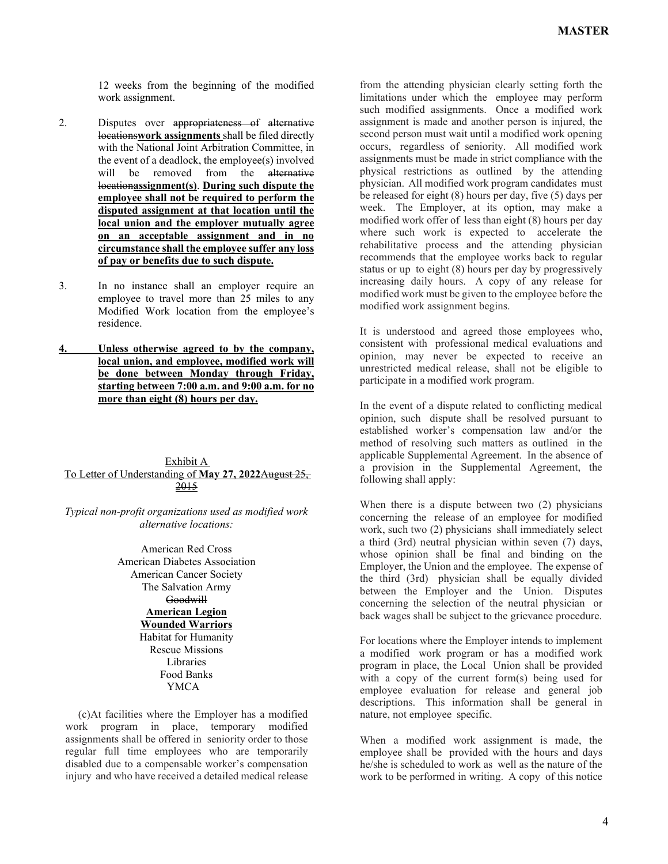12 weeks from the beginning of the modified work assignment.

- 2. Disputes over appropriateness of alternative locations**work assignments** shall be filed directly with the National Joint Arbitration Committee, in the event of a deadlock, the employee(s) involved will be removed from the alternative location**assignment(s)**. **During such dispute the employee shall not be required to perform the disputed assignment at that location until the local union and the employer mutually agree on an acceptable assignment and in no circumstance shall the employee suffer any loss of pay or benefits due to such dispute.**
- 3. In no instance shall an employer require an employee to travel more than 25 miles to any Modified Work location from the employee's residence.
- **4. Unless otherwise agreed to by the company, local union, and employee, modified work will be done between Monday through Friday, starting between 7:00 a.m. and 9:00 a.m. for no more than eight (8) hours per day.**

## Exhibit A To Letter of Understanding of **May 27, 2022**August 25, 2015

*Typical non-profit organizations used as modified work alternative locations:*

> American Red Cross American Diabetes Association American Cancer Society The Salvation Army Goodwill **American Legion Wounded Warriors** Habitat for Humanity Rescue Missions Libraries Food Banks YMCA

(c)At facilities where the Employer has a modified work program in place, temporary modified assignments shall be offered in seniority order to those regular full time employees who are temporarily disabled due to a compensable worker's compensation injury and who have received a detailed medical release

from the attending physician clearly setting forth the limitations under which the employee may perform such modified assignments. Once a modified work assignment is made and another person is injured, the second person must wait until a modified work opening occurs, regardless of seniority. All modified work assignments must be made in strict compliance with the physical restrictions as outlined by the attending physician. All modified work program candidates must be released for eight (8) hours per day, five (5) days per week. The Employer, at its option, may make a modified work offer of less than eight (8) hours per day where such work is expected to accelerate the rehabilitative process and the attending physician recommends that the employee works back to regular status or up to eight (8) hours per day by progressively increasing daily hours. A copy of any release for modified work must be given to the employee before the modified work assignment begins.

It is understood and agreed those employees who, consistent with professional medical evaluations and opinion, may never be expected to receive an unrestricted medical release, shall not be eligible to participate in a modified work program.

In the event of a dispute related to conflicting medical opinion, such dispute shall be resolved pursuant to established worker's compensation law and/or the method of resolving such matters as outlined in the applicable Supplemental Agreement. In the absence of a provision in the Supplemental Agreement, the following shall apply:

When there is a dispute between two (2) physicians concerning the release of an employee for modified work, such two (2) physicians shall immediately select a third (3rd) neutral physician within seven (7) days, whose opinion shall be final and binding on the Employer, the Union and the employee. The expense of the third (3rd) physician shall be equally divided between the Employer and the Union. Disputes concerning the selection of the neutral physician or back wages shall be subject to the grievance procedure.

For locations where the Employer intends to implement a modified work program or has a modified work program in place, the Local Union shall be provided with a copy of the current form(s) being used for employee evaluation for release and general job descriptions. This information shall be general in nature, not employee specific.

When a modified work assignment is made, the employee shall be provided with the hours and days he/she is scheduled to work as well as the nature of the work to be performed in writing. A copy of this notice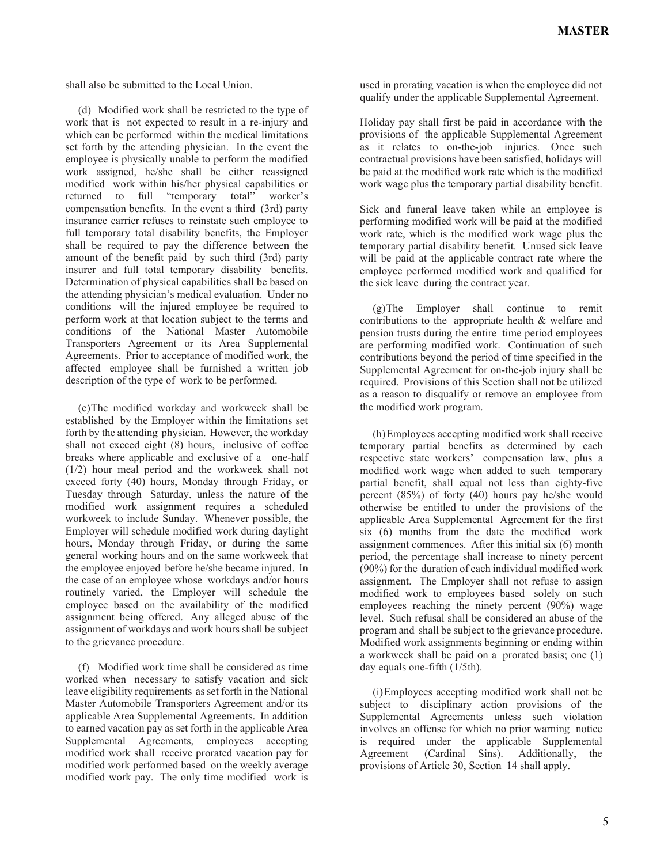shall also be submitted to the Local Union.

(d) Modified work shall be restricted to the type of work that is not expected to result in a re-injury and which can be performed within the medical limitations set forth by the attending physician. In the event the employee is physically unable to perform the modified work assigned, he/she shall be either reassigned modified work within his/her physical capabilities or returned to full "temporary total" worker's compensation benefits. In the event a third (3rd) party insurance carrier refuses to reinstate such employee to full temporary total disability benefits, the Employer shall be required to pay the difference between the amount of the benefit paid by such third (3rd) party insurer and full total temporary disability benefits. Determination of physical capabilities shall be based on the attending physician's medical evaluation. Under no conditions will the injured employee be required to perform work at that location subject to the terms and conditions of the National Master Automobile Transporters Agreement or its Area Supplemental Agreements. Prior to acceptance of modified work, the affected employee shall be furnished a written job description of the type of work to be performed.

(e)The modified workday and workweek shall be established by the Employer within the limitations set forth by the attending physician. However, the workday shall not exceed eight (8) hours, inclusive of coffee breaks where applicable and exclusive of a one-half (1/2) hour meal period and the workweek shall not exceed forty (40) hours, Monday through Friday, or Tuesday through Saturday, unless the nature of the modified work assignment requires a scheduled workweek to include Sunday. Whenever possible, the Employer will schedule modified work during daylight hours, Monday through Friday, or during the same general working hours and on the same workweek that the employee enjoyed before he/she became injured. In the case of an employee whose workdays and/or hours routinely varied, the Employer will schedule the employee based on the availability of the modified assignment being offered. Any alleged abuse of the assignment of workdays and work hours shall be subject to the grievance procedure.

(f) Modified work time shall be considered as time worked when necessary to satisfy vacation and sick leave eligibility requirements as set forth in the National Master Automobile Transporters Agreement and/or its applicable Area Supplemental Agreements. In addition to earned vacation pay as set forth in the applicable Area Supplemental Agreements, employees accepting modified work shall receive prorated vacation pay for modified work performed based on the weekly average modified work pay. The only time modified work is

used in prorating vacation is when the employee did not qualify under the applicable Supplemental Agreement.

Holiday pay shall first be paid in accordance with the provisions of the applicable Supplemental Agreement as it relates to on-the-job injuries. Once such contractual provisions have been satisfied, holidays will be paid at the modified work rate which is the modified work wage plus the temporary partial disability benefit.

Sick and funeral leave taken while an employee is performing modified work will be paid at the modified work rate, which is the modified work wage plus the temporary partial disability benefit. Unused sick leave will be paid at the applicable contract rate where the employee performed modified work and qualified for the sick leave during the contract year.

(g)The Employer shall continue to remit contributions to the appropriate health & welfare and pension trusts during the entire time period employees are performing modified work. Continuation of such contributions beyond the period of time specified in the Supplemental Agreement for on-the-job injury shall be required. Provisions of this Section shall not be utilized as a reason to disqualify or remove an employee from the modified work program.

(h)Employees accepting modified work shall receive temporary partial benefits as determined by each respective state workers' compensation law, plus a modified work wage when added to such temporary partial benefit, shall equal not less than eighty-five percent (85%) of forty (40) hours pay he/she would otherwise be entitled to under the provisions of the applicable Area Supplemental Agreement for the first six (6) months from the date the modified work assignment commences. After this initial six (6) month period, the percentage shall increase to ninety percent (90%) for the duration of each individual modified work assignment. The Employer shall not refuse to assign modified work to employees based solely on such employees reaching the ninety percent (90%) wage level. Such refusal shall be considered an abuse of the program and shall be subject to the grievance procedure. Modified work assignments beginning or ending within a workweek shall be paid on a prorated basis; one (1) day equals one-fifth (1/5th).

(i)Employees accepting modified work shall not be subject to disciplinary action provisions of the Supplemental Agreements unless such violation involves an offense for which no prior warning notice is required under the applicable Supplemental Agreement (Cardinal Sins). Additionally, the provisions of Article 30, Section 14 shall apply.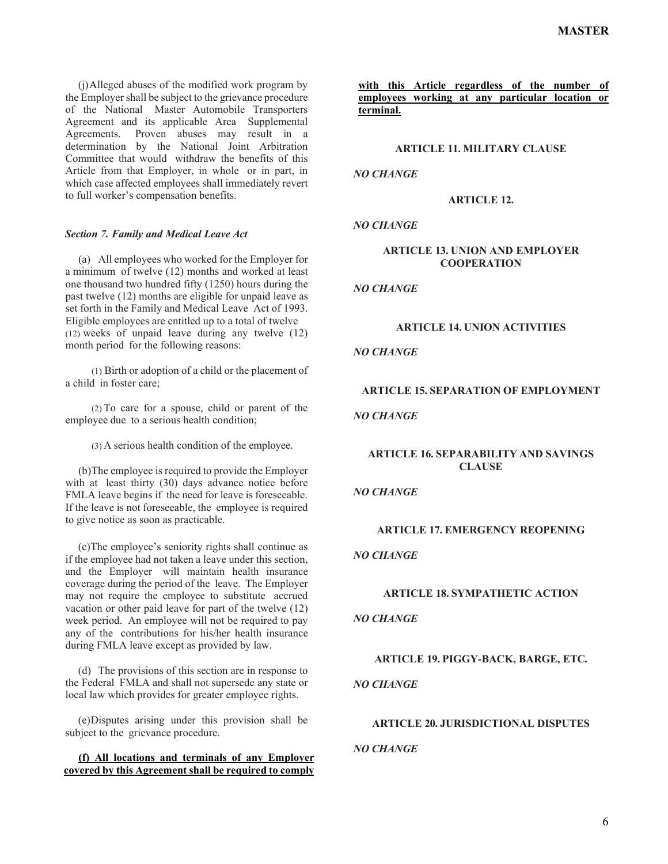(j)Alleged abuses of the modified work program by the Employer shall be subject to the grievance procedure of the National Master Automobile Transporters Agreement and its applicable Area Supplemental Agreements. Proven abuses may result in a determination by the National Joint Arbitration Committee that would withdraw the benefits of this Article from that Employer, in whole or in part, in which case affected employees shall immediately revert to full worker's compensation benefits.

### *Section 7. Family and Medical Leave Act*

(a) All employees who worked for the Employer for a minimum of twelve (12) months and worked at least one thousand two hundred fifty (1250) hours during the past twelve (12) months are eligible for unpaid leave as set forth in the Family and Medical Leave Act of 1993. Eligible employees are entitled up to a total of twelve (12) weeks of unpaid leave during any twelve (12) month period for the following reasons:

(1) Birth or adoption of a child or the placement of a child in foster care;

(2) To care for a spouse, child or parent of the employee due to a serious health condition;

(3) A serious health condition of the employee.

(b)The employee is required to provide the Employer with at least thirty (30) days advance notice before FMLA leave begins if the need for leave is foreseeable. If the leave is not foreseeable, the employee is required to give notice as soon as practicable.

(c)The employee's seniority rights shall continue as if the employee had not taken a leave under this section, and the Employer will maintain health insurance coverage during the period of the leave. The Employer may not require the employee to substitute accrued vacation or other paid leave for part of the twelve (12) week period. An employee will not be required to pay any of the contributions for his/her health insurance during FMLA leave except as provided by law.

(d) The provisions of this section are in response to the Federal FMLA and shall not supersede any state or local law which provides for greater employee rights.

(e)Disputes arising under this provision shall be subject to the grievance procedure.

**(f) All locations and terminals of any Employer covered by this Agreement shall be required to comply**  **with this Article regardless of the number of employees working at any particular location or terminal.**

## **ARTICLE 11. MILITARY CLAUSE**

### *NO CHANGE*

### **ARTICLE 12.**

## *NO CHANGE*

## **ARTICLE 13. UNION AND EMPLOYER COOPERATION**

*NO CHANGE*

## **ARTICLE 14. UNION ACTIVITIES**

## *NO CHANGE*

### **ARTICLE 15. SEPARATION OF EMPLOYMENT**

## *NO CHANGE*

## **ARTICLE 16. SEPARABILITY AND SAVINGS CLAUSE**

### *NO CHANGE*

### **ARTICLE 17. EMERGENCY REOPENING**

## *NO CHANGE*

### **ARTICLE 18. SYMPATHETIC ACTION**

### *NO CHANGE*

## **ARTICLE 19. PIGGY-BACK, BARGE, ETC.**

## *NO CHANGE*

## **ARTICLE 20. JURISDICTIONAL DISPUTES**

### *NO CHANGE*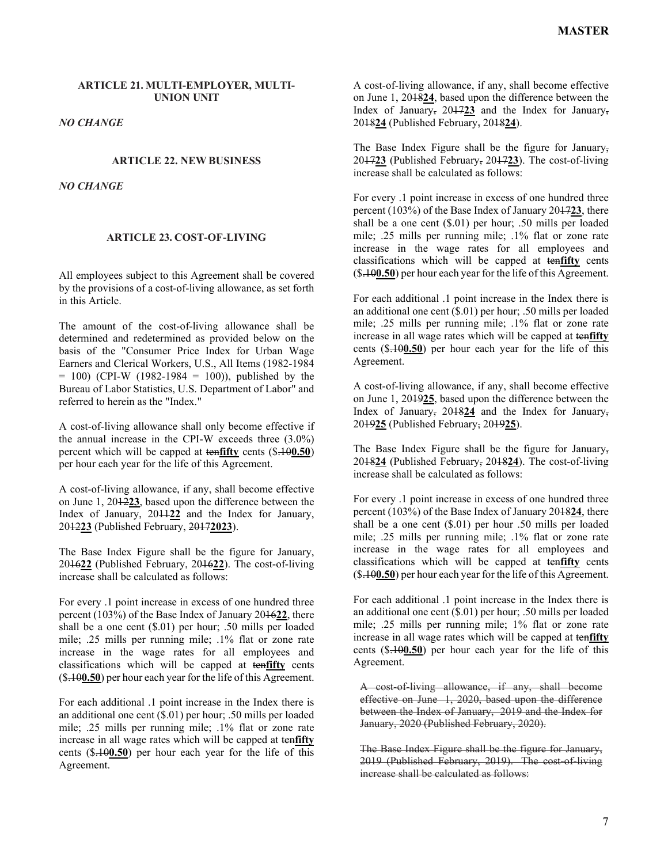## **ARTICLE 21. MULTI-EMPLOYER, MULTI-UNION UNIT**

### *NO CHANGE*

#### **ARTICLE 22. NEW BUSINESS**

*NO CHANGE*

#### **ARTICLE 23. COST-OF-LIVING**

All employees subject to this Agreement shall be covered by the provisions of a cost-of-living allowance, as set forth in this Article.

The amount of the cost-of-living allowance shall be determined and redetermined as provided below on the basis of the "Consumer Price Index for Urban Wage Earners and Clerical Workers, U.S., All Items (1982-1984  $= 100$ ) (CPI-W (1982-1984 = 100)), published by the Bureau of Labor Statistics, U.S. Department of Labor" and referred to herein as the "Index."

A cost-of-living allowance shall only become effective if the annual increase in the CPI-W exceeds three (3.0%) percent which will be capped at ten**fifty** cents (\$.10**0.50**) per hour each year for the life of this Agreement.

A cost-of-living allowance, if any, shall become effective on June 1, 2012**23**, based upon the difference between the Index of January, 2011**22** and the Index for January, 2012**23** (Published February, 2017**2023**).

The Base Index Figure shall be the figure for January, 2016**22** (Published February, 2016**22**). The cost-of-living increase shall be calculated as follows:

For every .1 point increase in excess of one hundred three percent (103%) of the Base Index of January 2016**22**, there shall be a one cent (\$.01) per hour; .50 mills per loaded mile; .25 mills per running mile; .1% flat or zone rate increase in the wage rates for all employees and classifications which will be capped at ten**fifty** cents (\$.10**0.50**) per hour each year for the life of this Agreement.

For each additional .1 point increase in the Index there is an additional one cent (\$.01) per hour; .50 mills per loaded mile; .25 mills per running mile; .1% flat or zone rate increase in all wage rates which will be capped at ten**fifty** cents (\$.10**0.50**) per hour each year for the life of this Agreement.

A cost-of-living allowance, if any, shall become effective on June 1, 2018**24**, based upon the difference between the Index of January, 2017**23** and the Index for January, 2018**24** (Published February, 2018**24**).

The Base Index Figure shall be the figure for January, 2017**23** (Published February, 2017**23**). The cost-of-living increase shall be calculated as follows:

For every .1 point increase in excess of one hundred three percent (103%) of the Base Index of January 2017**23**, there shall be a one cent (\$.01) per hour; .50 mills per loaded mile; .25 mills per running mile; .1% flat or zone rate increase in the wage rates for all employees and classifications which will be capped at ten**fifty** cents (\$.10**0.50**) per hour each year for the life of this Agreement.

For each additional .1 point increase in the Index there is an additional one cent (\$.01) per hour; .50 mills per loaded mile; .25 mills per running mile; .1% flat or zone rate increase in all wage rates which will be capped at ten**fifty** cents (\$.10**0.50**) per hour each year for the life of this Agreement.

A cost-of-living allowance, if any, shall become effective on June 1, 2019**25**, based upon the difference between the Index of January, 2018**24** and the Index for January, 2019**25** (Published February, 2019**25**).

The Base Index Figure shall be the figure for January, 2018**24** (Published February, 2018**24**). The cost-of-living increase shall be calculated as follows:

For every .1 point increase in excess of one hundred three percent (103%) of the Base Index of January 2018**24**, there shall be a one cent (\$.01) per hour .50 mills per loaded mile; .25 mills per running mile; .1% flat or zone rate increase in the wage rates for all employees and classifications which will be capped at ten**fifty** cents (\$.10**0.50**) per hour each year for the life of this Agreement.

For each additional .1 point increase in the Index there is an additional one cent (\$.01) per hour; .50 mills per loaded mile; .25 mills per running mile; 1% flat or zone rate increase in all wage rates which will be capped at ten**fifty** cents (\$.10**0.50**) per hour each year for the life of this Agreement.

A cost-of-living allowance, if any, shall become effective on June 1, 2020, based upon the difference between the Index of January, 2019 and the Index for January, 2020 (Published February, 2020).

The Base Index Figure shall be the figure for January, 2019 (Published February, 2019). The cost of living increase shall be calculated as follows: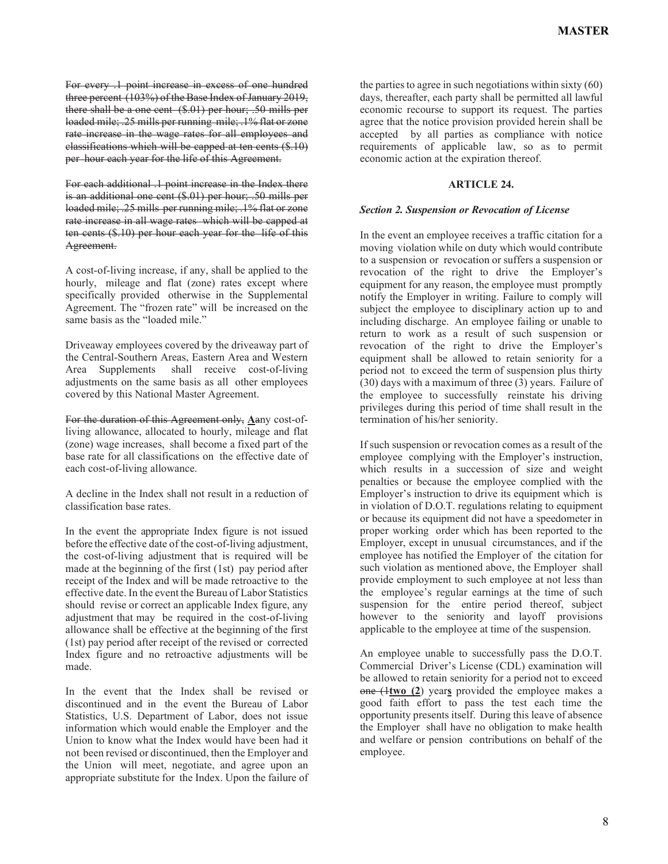For every .1 point increase in excess of one hundred three percent (103%) of the Base Index of January 2019, there shall be a one cent (\$.01) per hour; .50 mills per loaded mile; .25 mills per running mile; .1% flat or zone rate increase in the wage rates for all employees and classifications which will be capped at ten cents (\$.10) per hour each year for the life of this Agreement.

For each additional .1 point increase in the Index there is an additional one cent (\$.01) per hour; .50 mills per loaded mile; .25 mills per running mile; .1% flat or zone rate increase in all wage rates which will be capped at ten cents (\$.10) per hour each year for the life of this Agreement.

A cost-of-living increase, if any, shall be applied to the hourly, mileage and flat (zone) rates except where specifically provided otherwise in the Supplemental Agreement. The "frozen rate" will be increased on the same basis as the "loaded mile."

Driveaway employees covered by the driveaway part of the Central-Southern Areas, Eastern Area and Western Area Supplements shall receive cost-of-living adjustments on the same basis as all other employees covered by this National Master Agreement.

For the duration of this Agreement only, **A**any cost-ofliving allowance, allocated to hourly, mileage and flat (zone) wage increases, shall become a fixed part of the base rate for all classifications on the effective date of each cost-of-living allowance.

A decline in the Index shall not result in a reduction of classification base rates.

In the event the appropriate Index figure is not issued before the effective date of the cost-of-living adjustment, the cost-of-living adjustment that is required will be made at the beginning of the first (1st) pay period after receipt of the Index and will be made retroactive to the effective date. In the event the Bureau of Labor Statistics should revise or correct an applicable Index figure, any adjustment that may be required in the cost-of-living allowance shall be effective at the beginning of the first (1st) pay period after receipt of the revised or corrected Index figure and no retroactive adjustments will be made.

In the event that the Index shall be revised or discontinued and in the event the Bureau of Labor Statistics, U.S. Department of Labor, does not issue information which would enable the Employer and the Union to know what the Index would have been had it not been revised or discontinued, then the Employer and the Union will meet, negotiate, and agree upon an appropriate substitute for the Index. Upon the failure of

the parties to agree in such negotiations within sixty (60) days, thereafter, each party shall be permitted all lawful economic recourse to support its request. The parties agree that the notice provision provided herein shall be accepted by all parties as compliance with notice requirements of applicable law, so as to permit economic action at the expiration thereof.

### **ARTICLE 24.**

### *Section 2. Suspension or Revocation of License*

In the event an employee receives a traffic citation for a moving violation while on duty which would contribute to a suspension or revocation or suffers a suspension or revocation of the right to drive the Employer's equipment for any reason, the employee must promptly notify the Employer in writing. Failure to comply will subject the employee to disciplinary action up to and including discharge. An employee failing or unable to return to work as a result of such suspension or revocation of the right to drive the Employer's equipment shall be allowed to retain seniority for a period not to exceed the term of suspension plus thirty (30) days with a maximum of three (3) years. Failure of the employee to successfully reinstate his driving privileges during this period of time shall result in the termination of his/her seniority.

If such suspension or revocation comes as a result of the employee complying with the Employer's instruction, which results in a succession of size and weight penalties or because the employee complied with the Employer's instruction to drive its equipment which is in violation of D.O.T. regulations relating to equipment or because its equipment did not have a speedometer in proper working order which has been reported to the Employer, except in unusual circumstances, and if the employee has notified the Employer of the citation for such violation as mentioned above, the Employer shall provide employment to such employee at not less than the employee's regular earnings at the time of such suspension for the entire period thereof, subject however to the seniority and layoff provisions applicable to the employee at time of the suspension.

An employee unable to successfully pass the D.O.T. Commercial Driver's License (CDL) examination will be allowed to retain seniority for a period not to exceed one (1**two (2**) year**s** provided the employee makes a good faith effort to pass the test each time the opportunity presents itself. During this leave of absence the Employer shall have no obligation to make health and welfare or pension contributions on behalf of the employee.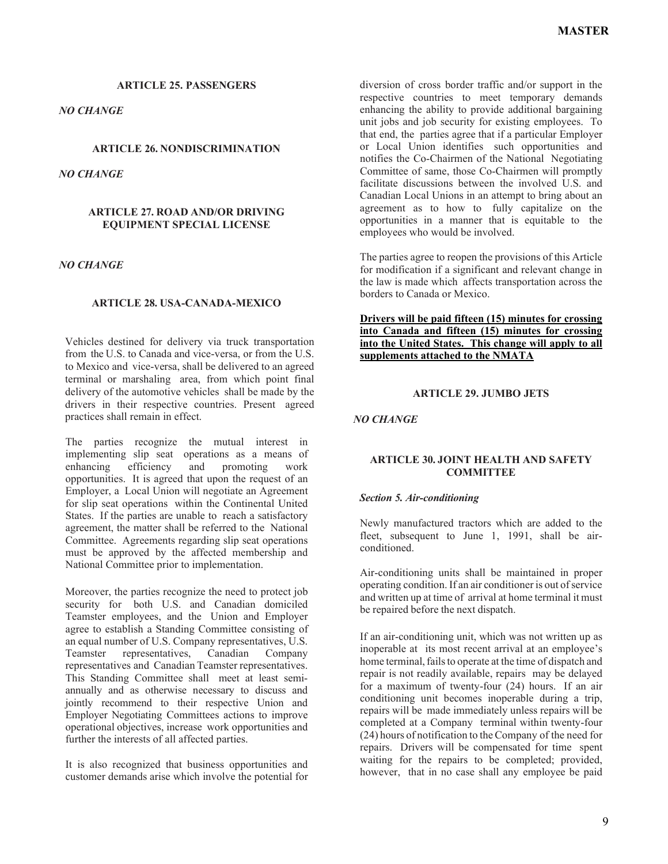*NO CHANGE*

## **ARTICLE 26. NONDISCRIMINATION**

*NO CHANGE*

### **ARTICLE 27. ROAD AND/OR DRIVING EQUIPMENT SPECIAL LICENSE**

## *NO CHANGE*

## **ARTICLE 28. USA-CANADA-MEXICO**

Vehicles destined for delivery via truck transportation from the U.S. to Canada and vice-versa, or from the U.S. to Mexico and vice-versa, shall be delivered to an agreed terminal or marshaling area, from which point final delivery of the automotive vehicles shall be made by the drivers in their respective countries. Present agreed practices shall remain in effect.

The parties recognize the mutual interest in implementing slip seat operations as a means of enhancing efficiency and promoting work opportunities. It is agreed that upon the request of an Employer, a Local Union will negotiate an Agreement for slip seat operations within the Continental United States. If the parties are unable to reach a satisfactory agreement, the matter shall be referred to the National Committee. Agreements regarding slip seat operations must be approved by the affected membership and National Committee prior to implementation.

Moreover, the parties recognize the need to protect job security for both U.S. and Canadian domiciled Teamster employees, and the Union and Employer agree to establish a Standing Committee consisting of an equal number of U.S. Company representatives, U.S. Teamster representatives, Canadian Company representatives and Canadian Teamster representatives. This Standing Committee shall meet at least semiannually and as otherwise necessary to discuss and jointly recommend to their respective Union and Employer Negotiating Committees actions to improve operational objectives, increase work opportunities and further the interests of all affected parties.

It is also recognized that business opportunities and customer demands arise which involve the potential for diversion of cross border traffic and/or support in the respective countries to meet temporary demands enhancing the ability to provide additional bargaining unit jobs and job security for existing employees. To that end, the parties agree that if a particular Employer or Local Union identifies such opportunities and notifies the Co-Chairmen of the National Negotiating Committee of same, those Co-Chairmen will promptly facilitate discussions between the involved U.S. and Canadian Local Unions in an attempt to bring about an agreement as to how to fully capitalize on the opportunities in a manner that is equitable to the employees who would be involved.

The parties agree to reopen the provisions of this Article for modification if a significant and relevant change in the law is made which affects transportation across the borders to Canada or Mexico.

## **Drivers will be paid fifteen (15) minutes for crossing into Canada and fifteen (15) minutes for crossing into the United States. This change will apply to all supplements attached to the NMATA**

### **ARTICLE 29. JUMBO JETS**

*NO CHANGE*

## **ARTICLE 30. JOINT HEALTH AND SAFETY COMMITTEE**

## *Section 5. Air-conditioning*

Newly manufactured tractors which are added to the fleet, subsequent to June 1, 1991, shall be airconditioned.

Air-conditioning units shall be maintained in proper  $\overline{\text{overating}}$  condition. If an air conditioner is out of service and written up at time of arrival at home terminal it must be repaired before the next dispatch.

If an air-conditioning unit, which was not written up as inoperable at its most recent arrival at an employee's home terminal, fails to operate at the time of dispatch and repair is not readily available, repairs may be delayed for a maximum of twenty-four (24) hours. If an air conditioning unit becomes inoperable during a trip, repairs will be made immediately unless repairs will be completed at a Company terminal within twenty-four (24) hours of notification to the Company of the need for repairs. Drivers will be compensated for time spent waiting for the repairs to be completed; provided, however, that in no case shall any employee be paid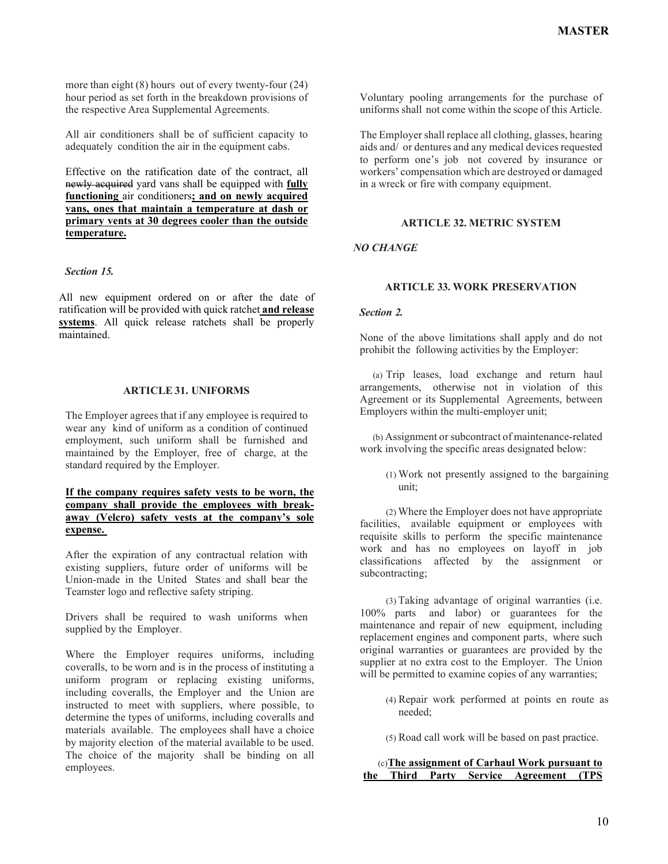more than eight (8) hours out of every twenty-four (24) hour period as set forth in the breakdown provisions of the respective Area Supplemental Agreements.

All air conditioners shall be of sufficient capacity to adequately condition the air in the equipment cabs.

Effective on the ratification date of the contract, all newly acquired yard vans shall be equipped with **fully functioning** air conditioners**; and on newly acquired vans, ones that maintain a temperature at dash or primary vents at 30 degrees cooler than the outside temperature.**

## *Section 15.*

All new equipment ordered on or after the date of ratification will be provided with quick ratchet **and release systems**. All quick release ratchets shall be properly maintained.

### **ARTICLE 31. UNIFORMS**

The Employer agrees that if any employee is required to wear any kind of uniform as a condition of continued employment, such uniform shall be furnished and maintained by the Employer, free of charge, at the standard required by the Employer.

## **If the company requires safety vests to be worn, the company shall provide the employees with breakaway (Velcro) safety vests at the company's sole expense.**

After the expiration of any contractual relation with existing suppliers, future order of uniforms will be Union-made in the United States and shall bear the Teamster logo and reflective safety striping.

Drivers shall be required to wash uniforms when supplied by the Employer.

Where the Employer requires uniforms, including coveralls, to be worn and is in the process of instituting a uniform program or replacing existing uniforms, including coveralls, the Employer and the Union are instructed to meet with suppliers, where possible, to determine the types of uniforms, including coveralls and materials available. The employees shall have a choice by majority election of the material available to be used. The choice of the majority shall be binding on all employees.

Voluntary pooling arrangements for the purchase of uniforms shall not come within the scope of this Article.

The Employer shall replace all clothing, glasses, hearing aids and/ or dentures and any medical devices requested to perform one's job not covered by insurance or workers' compensation which are destroyed or damaged in a wreck or fire with company equipment.

## **ARTICLE 32. METRIC SYSTEM**

## *NO CHANGE*

## **ARTICLE 33. WORK PRESERVATION**

### *Section 2.*

None of the above limitations shall apply and do not prohibit the following activities by the Employer:

(a) Trip leases, load exchange and return haul arrangements, otherwise not in violation of this Agreement or its Supplemental Agreements, between Employers within the multi-employer unit;

(b) Assignment or subcontract of maintenance-related work involving the specific areas designated below:

> (1) Work not presently assigned to the bargaining unit;

(2) Where the Employer does not have appropriate facilities, available equipment or employees with requisite skills to perform the specific maintenance work and has no employees on layoff in job classifications affected by the assignment or subcontracting;

(3) Taking advantage of original warranties (i.e. 100% parts and labor) or guarantees for the maintenance and repair of new equipment, including replacement engines and component parts, where such original warranties or guarantees are provided by the supplier at no extra cost to the Employer. The Union will be permitted to examine copies of any warranties;

- (4) Repair work performed at points en route as needed;
- (5) Road call work will be based on past practice.

|  |  | (c) The assignment of Carhaul Work pursuant to |  |
|--|--|------------------------------------------------|--|
|  |  | the Third Party Service Agreement (TPS         |  |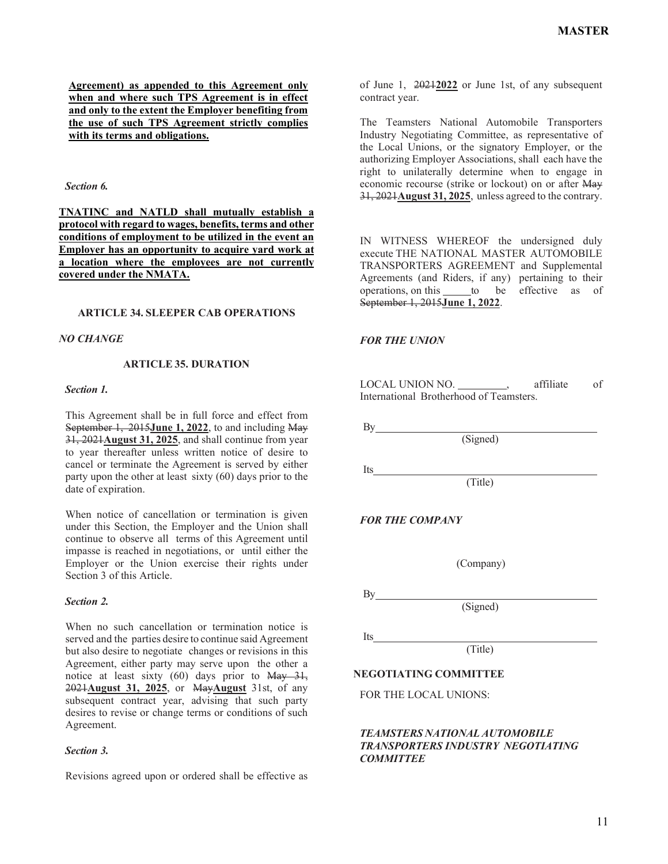**Agreement) as appended to this Agreement only when and where such TPS Agreement is in effect and only to the extent the Employer benefiting from the use of such TPS Agreement strictly complies with its terms and obligations.**

#### *Section 6.*

**TNATINC and NATLD shall mutually establish a protocol with regard to wages, benefits, terms and other conditions of employment to be utilized in the event an Employer has an opportunity to acquire yard work at a location where the employees are not currently covered under the NMATA.**

### **ARTICLE 34. SLEEPER CAB OPERATIONS**

### *NO CHANGE*

#### **ARTICLE 35. DURATION**

#### *Section 1.*

This Agreement shall be in full force and effect from September 1, 2015**June 1, 2022**, to and including May 31, 2021**August 31, 2025**, and shall continue from year to year thereafter unless written notice of desire to cancel or terminate the Agreement is served by either party upon the other at least sixty (60) days prior to the date of expiration.

When notice of cancellation or termination is given under this Section, the Employer and the Union shall continue to observe all terms of this Agreement until impasse is reached in negotiations, or until either the Employer or the Union exercise their rights under Section 3 of this Article.

#### *Section 2.*

When no such cancellation or termination notice is served and the parties desire to continue said Agreement but also desire to negotiate changes or revisions in this Agreement, either party may serve upon the other a notice at least sixty  $(60)$  days prior to May 31, 2021**August 31, 2025**, or May**August** 31st, of any subsequent contract year, advising that such party desires to revise or change terms or conditions of such Agreement.

#### *Section 3.*

Revisions agreed upon or ordered shall be effective as

of June 1, 2021**2022** or June 1st, of any subsequent contract year.

The Teamsters National Automobile Transporters Industry Negotiating Committee, as representative of the Local Unions, or the signatory Employer, or the authorizing Employer Associations, shall each have the right to unilaterally determine when to engage in economic recourse (strike or lockout) on or after May 31, 2021**August 31, 2025**, unless agreed to the contrary.

IN WITNESS WHEREOF the undersigned duly execute THE NATIONAL MASTER AUTOMOBILE TRANSPORTERS AGREEMENT and Supplemental Agreements (and Riders, if any) pertaining to their operations, on this to be effective as of September 1, 2015**June 1, 2022**.

### *FOR THE UNION*

By

Its

LOCAL UNION NO. \_\_\_\_\_\_\_\_\_, affiliate of International Brotherhood of Teamsters.

(Signed)

*FOR THE COMPANY*

(Company)

(Signed)

(Title)

 $By$ 

Its

(Title)

#### **NEGOTIATING COMMITTEE**

FOR THE LOCAL UNIONS:

## *TEAMSTERS NATIONAL AUTOMOBILE TRANSPORTERS INDUSTRY NEGOTIATING COMMITTEE*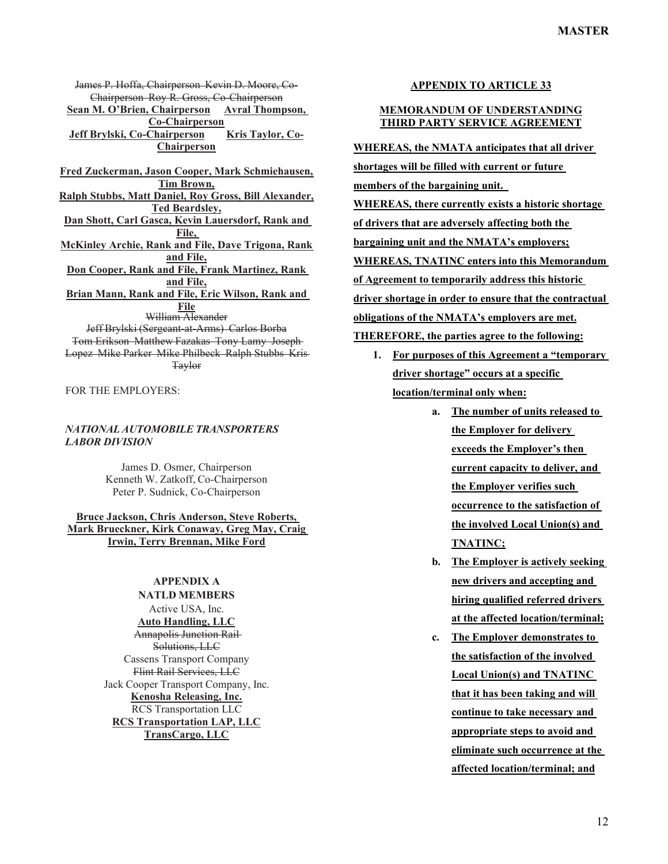James P. Hoffa, Chairperson Kevin D. Moore, Co-Chairperson Roy R. Gross, Co-Chairperson **Sean M. O'Brien, Chairperson Avral Thompson, Co-Chairperson** Jeff Brylski, Co-Chairperson Kris Taylor, Co-**Chairperson**

**Fred Zuckerman, Jason Cooper, Mark Schmiehausen, Tim Brown, Ralph Stubbs, Matt Daniel, Roy Gross, Bill Alexander, Ted Beardsley, Dan Shott, Carl Gasca, Kevin Lauersdorf, Rank and File, McKinley Archie, Rank and File, Dave Trigona, Rank and File, Don Cooper, Rank and File, Frank Martinez, Rank and File, Brian Mann, Rank and File, Eric Wilson, Rank and File** William Alexander Jeff Brylski (Sergeant-at-Arms) Carlos Borba Tom Erikson Matthew Fazakas Tony Lamy Joseph Lopez Mike Parker Mike Philbeck Ralph Stubbs Kris Taylor

FOR THE EMPLOYERS:

## *NATIONAL AUTOMOBILE TRANSPORTERS LABOR DIVISION*

James D. Osmer, Chairperson Kenneth W. Zatkoff, Co-Chairperson Peter P. Sudnick, Co-Chairperson

## **Bruce Jackson, Chris Anderson, Steve Roberts, Mark Brueckner, Kirk Conaway, Greg May, Craig Irwin, Terry Brennan, Mike Ford**

# **APPENDIX A**

**NATLD MEMBERS** Active USA, Inc. **Auto Handling, LLC** Annapolis Junction Rail Solutions, LLC Cassens Transport Company Flint Rail Services, LLC Jack Cooper Transport Company, Inc. **Kenosha Releasing, Inc.** RCS Transportation LLC **RCS Transportation LAP, LLC TransCargo, LLC**

## **APPENDIX TO ARTICLE 33**

### **MEMORANDUM OF UNDERSTANDING THIRD PARTY SERVICE AGREEMENT**

**WHEREAS, the NMATA anticipates that all driver shortages will be filled with current or future members of the bargaining unit. WHEREAS, there currently exists a historic shortage of drivers that are adversely affecting both the bargaining unit and the NMATA's employers; WHEREAS, TNATINC enters into this Memorandum of Agreement to temporarily address this historic driver shortage in order to ensure that the contractual obligations of the NMATA's employers are met. THEREFORE, the parties agree to the following:**

- **1. For purposes of this Agreement a "temporary driver shortage" occurs at a specific location/terminal only when:**
	- **a. The number of units released to the Employer for delivery exceeds the Employer's then current capacity to deliver, and the Employer verifies such occurrence to the satisfaction of the involved Local Union(s) and TNATINC;**
	- **b. The Employer is actively seeking new drivers and accepting and hiring qualified referred drivers at the affected location/terminal;**
	- **c. The Employer demonstrates to the satisfaction of the involved Local Union(s) and TNATINC that it has been taking and will continue to take necessary and appropriate steps to avoid and eliminate such occurrence at the affected location/terminal; and**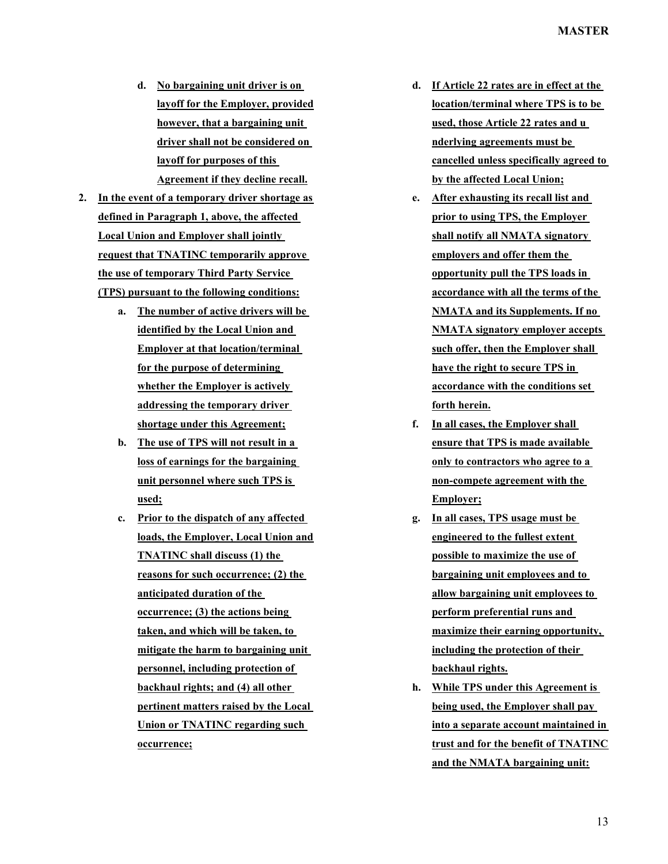- **d. No bargaining unit driver is on layoff for the Employer, provided however, that a bargaining unit driver shall not be considered on layoff for purposes of this Agreement if they decline recall.**
- **2. In the event of a temporary driver shortage as defined in Paragraph 1, above, the affected Local Union and Employer shall jointly request that TNATINC temporarily approve the use of temporary Third Party Service (TPS) pursuant to the following conditions:**
	- **a. The number of active drivers will be identified by the Local Union and Employer at that location/terminal for the purpose of determining whether the Employer is actively addressing the temporary driver shortage under this Agreement;**
	- **b. The use of TPS will not result in a loss of earnings for the bargaining unit personnel where such TPS is used;**
	- **c. Prior to the dispatch of any affected loads, the Employer, Local Union and TNATINC shall discuss (1) the reasons for such occurrence; (2) the anticipated duration of the occurrence; (3) the actions being taken, and which will be taken, to mitigate the harm to bargaining unit personnel, including protection of backhaul rights; and (4) all other pertinent matters raised by the Local Union or TNATINC regarding such occurrence;**
- **d. If Article 22 rates are in effect at the location/terminal where TPS is to be used, those Article 22 rates and u nderlying agreements must be cancelled unless specifically agreed to by the affected Local Union;**
- **e. After exhausting its recall list and prior to using TPS, the Employer shall notify all NMATA signatory employers and offer them the opportunity pull the TPS loads in accordance with all the terms of the NMATA and its Supplements. If no NMATA signatory employer accepts such offer, then the Employer shall have the right to secure TPS in accordance with the conditions set forth herein.**
- **f. In all cases, the Employer shall ensure that TPS is made available only to contractors who agree to a non-compete agreement with the Employer;**
- **g. In all cases, TPS usage must be engineered to the fullest extent possible to maximize the use of bargaining unit employees and to allow bargaining unit employees to perform preferential runs and maximize their earning opportunity, including the protection of their backhaul rights.**
- **h. While TPS under this Agreement is being used, the Employer shall pay into a separate account maintained in trust and for the benefit of TNATINC and the NMATA bargaining unit:**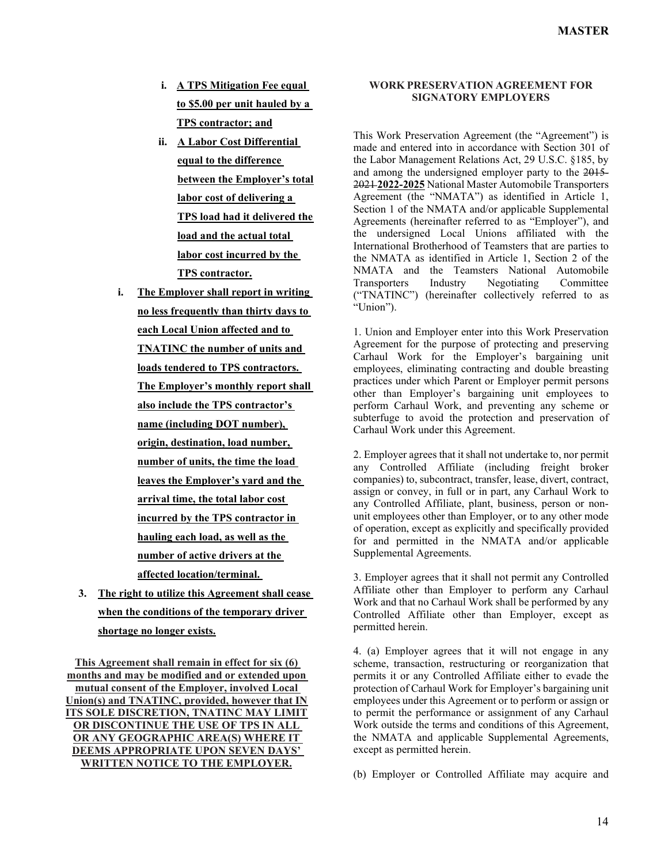- **i. A TPS Mitigation Fee equal to \$5.00 per unit hauled by a TPS contractor; and**
- **ii. A Labor Cost Differential equal to the difference between the Employer's total labor cost of delivering a TPS load had it delivered the load and the actual total labor cost incurred by the TPS contractor.**
- **i. The Employer shall report in writing no less frequently than thirty days to each Local Union affected and to TNATINC the number of units and loads tendered to TPS contractors. The Employer's monthly report shall also include the TPS contractor's name (including DOT number), origin, destination, load number, number of units, the time the load leaves the Employer's yard and the arrival time, the total labor cost incurred by the TPS contractor in hauling each load, as well as the number of active drivers at the affected location/terminal.**
- **3. The right to utilize this Agreement shall cease when the conditions of the temporary driver shortage no longer exists.**

**This Agreement shall remain in effect for six (6) months and may be modified and or extended upon mutual consent of the Employer, involved Local Union(s) and TNATINC, provided, however that IN ITS SOLE DISCRETION, TNATINC MAY LIMIT OR DISCONTINUE THE USE OF TPS IN ALL OR ANY GEOGRAPHIC AREA(S) WHERE IT DEEMS APPROPRIATE UPON SEVEN DAYS' WRITTEN NOTICE TO THE EMPLOYER.**

## **WORK PRESERVATION AGREEMENT FOR SIGNATORY EMPLOYERS**

This Work Preservation Agreement (the "Agreement") is made and entered into in accordance with Section 301 of the Labor Management Relations Act, 29 U.S.C. §185, by and among the undersigned employer party to the 2015- 2021 **2022-2025** National Master Automobile Transporters Agreement (the "NMATA") as identified in Article 1, Section 1 of the NMATA and/or applicable Supplemental Agreements (hereinafter referred to as "Employer"), and the undersigned Local Unions affiliated with the International Brotherhood of Teamsters that are parties to the NMATA as identified in Article 1, Section 2 of the NMATA and the Teamsters National Automobile Transporters Industry Negotiating Committee ("TNATINC") (hereinafter collectively referred to as "Union").

1. Union and Employer enter into this Work Preservation Agreement for the purpose of protecting and preserving Carhaul Work for the Employer's bargaining unit employees, eliminating contracting and double breasting practices under which Parent or Employer permit persons other than Employer's bargaining unit employees to perform Carhaul Work, and preventing any scheme or subterfuge to avoid the protection and preservation of Carhaul Work under this Agreement.

2. Employer agrees that it shall not undertake to, nor permit any Controlled Affiliate (including freight broker companies) to, subcontract, transfer, lease, divert, contract, assign or convey, in full or in part, any Carhaul Work to any Controlled Affiliate, plant, business, person or nonunit employees other than Employer, or to any other mode of operation, except as explicitly and specifically provided for and permitted in the NMATA and/or applicable Supplemental Agreements.

3. Employer agrees that it shall not permit any Controlled Affiliate other than Employer to perform any Carhaul Work and that no Carhaul Work shall be performed by any Controlled Affiliate other than Employer, except as permitted herein.

4. (a) Employer agrees that it will not engage in any scheme, transaction, restructuring or reorganization that permits it or any Controlled Affiliate either to evade the protection of Carhaul Work for Employer's bargaining unit employees under this Agreement or to perform or assign or to permit the performance or assignment of any Carhaul Work outside the terms and conditions of this Agreement, the NMATA and applicable Supplemental Agreements, except as permitted herein.

(b) Employer or Controlled Affiliate may acquire and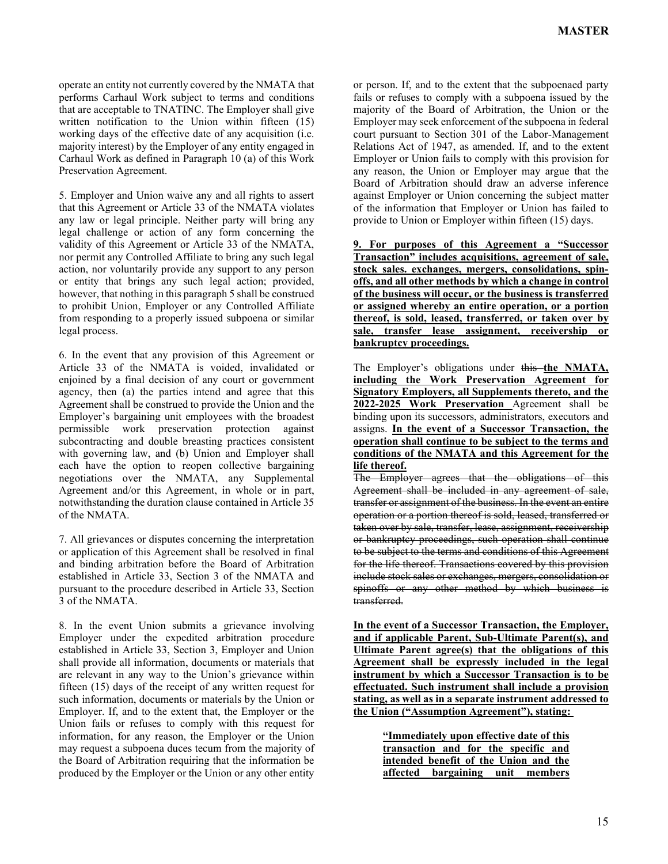operate an entity not currently covered by the NMATA that performs Carhaul Work subject to terms and conditions that are acceptable to TNATINC. The Employer shall give written notification to the Union within fifteen (15) working days of the effective date of any acquisition (i.e. majority interest) by the Employer of any entity engaged in Carhaul Work as defined in Paragraph 10 (a) of this Work Preservation Agreement.

5. Employer and Union waive any and all rights to assert that this Agreement or Article 33 of the NMATA violates any law or legal principle. Neither party will bring any legal challenge or action of any form concerning the validity of this Agreement or Article 33 of the NMATA, nor permit any Controlled Affiliate to bring any such legal action, nor voluntarily provide any support to any person or entity that brings any such legal action; provided, however, that nothing in this paragraph 5 shall be construed to prohibit Union, Employer or any Controlled Affiliate from responding to a properly issued subpoena or similar legal process.

6. In the event that any provision of this Agreement or Article 33 of the NMATA is voided, invalidated or enjoined by a final decision of any court or government agency, then (a) the parties intend and agree that this Agreement shall be construed to provide the Union and the Employer's bargaining unit employees with the broadest permissible work preservation protection against subcontracting and double breasting practices consistent with governing law, and (b) Union and Employer shall each have the option to reopen collective bargaining negotiations over the NMATA, any Supplemental Agreement and/or this Agreement, in whole or in part, notwithstanding the duration clause contained in Article 35 of the NMATA.

7. All grievances or disputes concerning the interpretation or application of this Agreement shall be resolved in final and binding arbitration before the Board of Arbitration established in Article 33, Section 3 of the NMATA and pursuant to the procedure described in Article 33, Section 3 of the NMATA.

8. In the event Union submits a grievance involving Employer under the expedited arbitration procedure established in Article 33, Section 3, Employer and Union shall provide all information, documents or materials that are relevant in any way to the Union's grievance within fifteen (15) days of the receipt of any written request for such information, documents or materials by the Union or Employer. If, and to the extent that, the Employer or the Union fails or refuses to comply with this request for information, for any reason, the Employer or the Union may request a subpoena duces tecum from the majority of the Board of Arbitration requiring that the information be produced by the Employer or the Union or any other entity

or person. If, and to the extent that the subpoenaed party fails or refuses to comply with a subpoena issued by the majority of the Board of Arbitration, the Union or the Employer may seek enforcement of the subpoena in federal court pursuant to Section 301 of the Labor-Management Relations Act of 1947, as amended. If, and to the extent Employer or Union fails to comply with this provision for any reason, the Union or Employer may argue that the Board of Arbitration should draw an adverse inference against Employer or Union concerning the subject matter of the information that Employer or Union has failed to provide to Union or Employer within fifteen (15) days.

**9. For purposes of this Agreement a "Successor Transaction" includes acquisitions, agreement of sale, stock sales. exchanges, mergers, consolidations, spinoffs, and all other methods by which a change in control of the business will occur, or the business is transferred or assigned whereby an entire operation, or a portion thereof, is sold, leased, transferred, or taken over by sale, transfer lease assignment, receivership or bankruptcy proceedings.**

The Employer's obligations under this the NMATA, **including the Work Preservation Agreement for Signatory Employers, all Supplements thereto, and the 2022-2025 Work Preservation** Agreement shall be binding upon its successors, administrators, executors and assigns. **In the event of a Successor Transaction, the operation shall continue to be subject to the terms and conditions of the NMATA and this Agreement for the life thereof.**

The Employer agrees that the obligations of this Agreement shall be included in any agreement of sale, transfer or assignment of the business. In the event an entire operation or a portion thereof is sold, leased, transferred or taken over by sale, transfer, lease, assignment, receivership or bankruptcy proceedings, such operation shall continue to be subject to the terms and conditions of this Agreement for the life thereof. Transactions covered by this provision include stock sales or exchanges, mergers, consolidation or spinoffs or any other method by which business is transferred.

**In the event of a Successor Transaction, the Employer, and if applicable Parent, Sub-Ultimate Parent(s), and Ultimate Parent agree(s) that the obligations of this Agreement shall be expressly included in the legal instrument by which a Successor Transaction is to be effectuated. Such instrument shall include a provision stating, as well as in a separate instrument addressed to the Union ("Assumption Agreement"), stating:** 

> **"Immediately upon effective date of this transaction and for the specific and intended benefit of the Union and the affected bargaining unit members**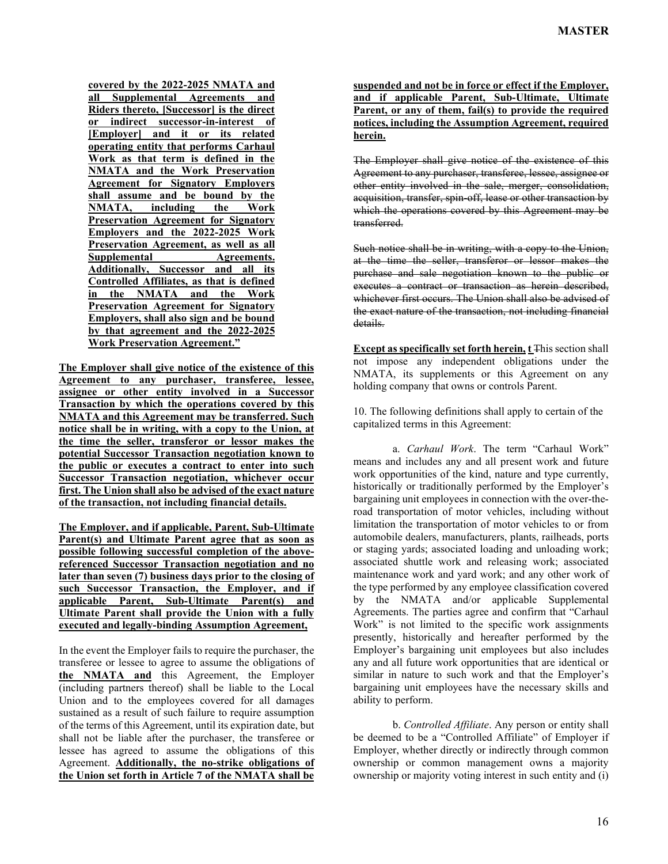**covered by the 2022-2025 NMATA and all Supplemental Agreements and Riders thereto, [Successor] is the direct or indirect successor-in-interest of [Employer] and it or its related operating entity that performs Carhaul Work as that term is defined in the NMATA and the Work Preservation Agreement for Signatory Employers shall assume and be bound by the NMATA, including the Work Preservation Agreement for Signatory Employers and the 2022-2025 Work Preservation Agreement, as well as all Supplemental Agreements. Additionally, Successor and all its Controlled Affiliates, as that is defined in the NMATA and the Work Preservation Agreement for Signatory Employers, shall also sign and be bound by that agreement and the 2022-2025 Work Preservation Agreement."**

**The Employer shall give notice of the existence of this Agreement to any purchaser, transferee, lessee, assignee or other entity involved in a Successor Transaction by which the operations covered by this NMATA and this Agreement may be transferred. Such notice shall be in writing, with a copy to the Union, at the time the seller, transferor or lessor makes the potential Successor Transaction negotiation known to the public or executes a contract to enter into such Successor Transaction negotiation, whichever occur first. The Union shall also be advised of the exact nature of the transaction, not including financial details.**

**The Employer, and if applicable, Parent, Sub-Ultimate Parent(s) and Ultimate Parent agree that as soon as possible following successful completion of the abovereferenced Successor Transaction negotiation and no later than seven (7) business days prior to the closing of such Successor Transaction, the Employer, and if applicable Parent, Sub-Ultimate Parent(s) and Ultimate Parent shall provide the Union with a fully executed and legally-binding Assumption Agreement,**

In the event the Employer fails to require the purchaser, the transferee or lessee to agree to assume the obligations of **the NMATA and** this Agreement, the Employer (including partners thereof) shall be liable to the Local Union and to the employees covered for all damages sustained as a result of such failure to require assumption of the terms of this Agreement, until its expiration date, but shall not be liable after the purchaser, the transferee or lessee has agreed to assume the obligations of this Agreement. **Additionally, the no-strike obligations of the Union set forth in Article 7 of the NMATA shall be** 

**suspended and not be in force or effect if the Employer, and if applicable Parent, Sub-Ultimate, Ultimate Parent, or any of them, fail(s) to provide the required notices, including the Assumption Agreement, required herein.**

The Employer shall give notice of the existence of this Agreement to any purchaser, transferee, lessee, assignee or other entity involved in the sale, merger, consolidation, acquisition, transfer, spin-off, lease or other transaction by which the operations covered by this Agreement may be transferred.

Such notice shall be in writing, with a copy to the Union, at the time the seller, transferor or lessor makes the purchase and sale negotiation known to the public or executes a contract or transaction as herein described, whichever first occurs. The Union shall also be advised of the exact nature of the transaction, not including financial details.

**Except as specifically set forth herein, t** This section shall not impose any independent obligations under the NMATA, its supplements or this Agreement on any holding company that owns or controls Parent.

10. The following definitions shall apply to certain of the capitalized terms in this Agreement:

a. *Carhaul Work*. The term "Carhaul Work" means and includes any and all present work and future work opportunities of the kind, nature and type currently, historically or traditionally performed by the Employer's bargaining unit employees in connection with the over-theroad transportation of motor vehicles, including without limitation the transportation of motor vehicles to or from automobile dealers, manufacturers, plants, railheads, ports or staging yards; associated loading and unloading work; associated shuttle work and releasing work; associated maintenance work and yard work; and any other work of the type performed by any employee classification covered by the NMATA and/or applicable Supplemental Agreements. The parties agree and confirm that "Carhaul Work" is not limited to the specific work assignments presently, historically and hereafter performed by the Employer's bargaining unit employees but also includes any and all future work opportunities that are identical or similar in nature to such work and that the Employer's bargaining unit employees have the necessary skills and ability to perform.

b. *Controlled Affiliate*. Any person or entity shall be deemed to be a "Controlled Affiliate" of Employer if Employer, whether directly or indirectly through common ownership or common management owns a majority ownership or majority voting interest in such entity and (i)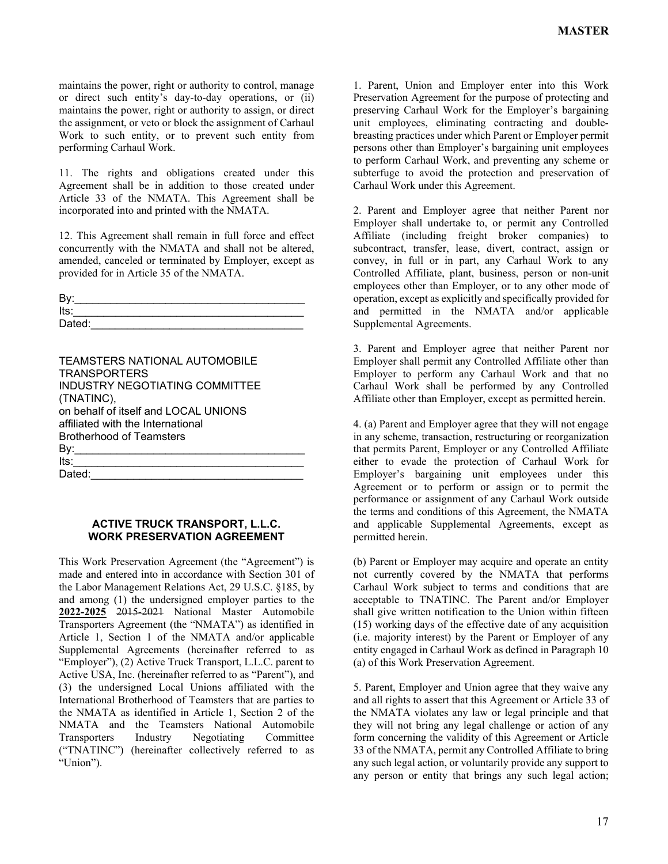maintains the power, right or authority to control, manage or direct such entity's day-to-day operations, or (ii) maintains the power, right or authority to assign, or direct the assignment, or veto or block the assignment of Carhaul Work to such entity, or to prevent such entity from performing Carhaul Work.

11. The rights and obligations created under this Agreement shall be in addition to those created under Article 33 of the NMATA. This Agreement shall be incorporated into and printed with the NMATA.

12. This Agreement shall remain in full force and effect concurrently with the NMATA and shall not be altered, amended, canceled or terminated by Employer, except as provided for in Article 35 of the NMATA.

| By:    |  |
|--------|--|
| Its:   |  |
| Dated: |  |

| <b>TEAMSTERS NATIONAL AUTOMOBILE</b> |
|--------------------------------------|
| <b>TRANSPORTERS</b>                  |
| INDUSTRY NEGOTIATING COMMITTEE       |
| (TNATINC),                           |
| on behalf of itself and LOCAL UNIONS |
| affiliated with the International    |
| <b>Brotherhood of Teamsters</b>      |
| By:__                                |
| lts:                                 |
| Dated:                               |

## **ACTIVE TRUCK TRANSPORT, L.L.C. WORK PRESERVATION AGREEMENT**

This Work Preservation Agreement (the "Agreement") is made and entered into in accordance with Section 301 of the Labor Management Relations Act, 29 U.S.C. §185, by and among (1) the undersigned employer parties to the **2022-2025** 2015-2021 National Master Automobile Transporters Agreement (the "NMATA") as identified in Article 1, Section 1 of the NMATA and/or applicable Supplemental Agreements (hereinafter referred to as "Employer"), (2) Active Truck Transport, L.L.C. parent to Active USA, Inc. (hereinafter referred to as "Parent"), and (3) the undersigned Local Unions affiliated with the International Brotherhood of Teamsters that are parties to the NMATA as identified in Article 1, Section 2 of the NMATA and the Teamsters National Automobile Transporters Industry Negotiating Committee ("TNATINC") (hereinafter collectively referred to as "Union").

1. Parent, Union and Employer enter into this Work Preservation Agreement for the purpose of protecting and preserving Carhaul Work for the Employer's bargaining unit employees, eliminating contracting and doublebreasting practices under which Parent or Employer permit persons other than Employer's bargaining unit employees to perform Carhaul Work, and preventing any scheme or subterfuge to avoid the protection and preservation of Carhaul Work under this Agreement.

2. Parent and Employer agree that neither Parent nor Employer shall undertake to, or permit any Controlled Affiliate (including freight broker companies) to subcontract, transfer, lease, divert, contract, assign or convey, in full or in part, any Carhaul Work to any Controlled Affiliate, plant, business, person or non-unit employees other than Employer, or to any other mode of operation, except as explicitly and specifically provided for and permitted in the NMATA and/or applicable Supplemental Agreements.

3. Parent and Employer agree that neither Parent nor Employer shall permit any Controlled Affiliate other than Employer to perform any Carhaul Work and that no Carhaul Work shall be performed by any Controlled Affiliate other than Employer, except as permitted herein.

4. (a) Parent and Employer agree that they will not engage in any scheme, transaction, restructuring or reorganization that permits Parent, Employer or any Controlled Affiliate either to evade the protection of Carhaul Work for Employer's bargaining unit employees under this Agreement or to perform or assign or to permit the performance or assignment of any Carhaul Work outside the terms and conditions of this Agreement, the NMATA and applicable Supplemental Agreements, except as permitted herein.

(b) Parent or Employer may acquire and operate an entity not currently covered by the NMATA that performs Carhaul Work subject to terms and conditions that are acceptable to TNATINC. The Parent and/or Employer shall give written notification to the Union within fifteen (15) working days of the effective date of any acquisition (i.e. majority interest) by the Parent or Employer of any entity engaged in Carhaul Work as defined in Paragraph 10 (a) of this Work Preservation Agreement.

5. Parent, Employer and Union agree that they waive any and all rights to assert that this Agreement or Article 33 of the NMATA violates any law or legal principle and that they will not bring any legal challenge or action of any form concerning the validity of this Agreement or Article 33 of the NMATA, permit any Controlled Affiliate to bring any such legal action, or voluntarily provide any support to any person or entity that brings any such legal action;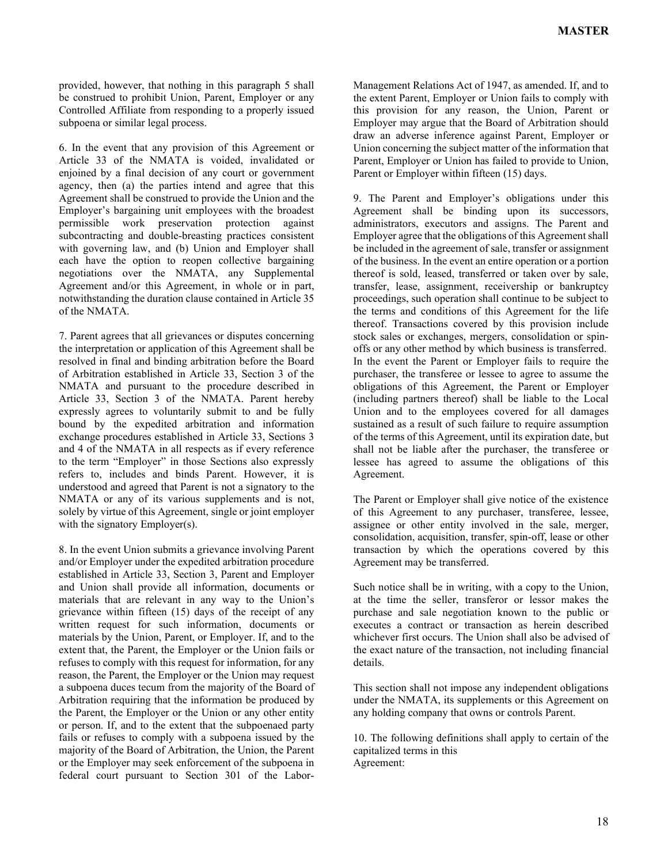provided, however, that nothing in this paragraph 5 shall be construed to prohibit Union, Parent, Employer or any Controlled Affiliate from responding to a properly issued subpoena or similar legal process.

6. In the event that any provision of this Agreement or Article 33 of the NMATA is voided, invalidated or enjoined by a final decision of any court or government agency, then (a) the parties intend and agree that this Agreement shall be construed to provide the Union and the Employer's bargaining unit employees with the broadest permissible work preservation protection against subcontracting and double-breasting practices consistent with governing law, and (b) Union and Employer shall each have the option to reopen collective bargaining negotiations over the NMATA, any Supplemental Agreement and/or this Agreement, in whole or in part, notwithstanding the duration clause contained in Article 35 of the NMATA.

7. Parent agrees that all grievances or disputes concerning the interpretation or application of this Agreement shall be resolved in final and binding arbitration before the Board of Arbitration established in Article 33, Section 3 of the NMATA and pursuant to the procedure described in Article 33, Section 3 of the NMATA. Parent hereby expressly agrees to voluntarily submit to and be fully bound by the expedited arbitration and information exchange procedures established in Article 33, Sections 3 and 4 of the NMATA in all respects as if every reference to the term "Employer" in those Sections also expressly refers to, includes and binds Parent. However, it is understood and agreed that Parent is not a signatory to the NMATA or any of its various supplements and is not, solely by virtue of this Agreement, single or joint employer with the signatory Employer(s).

8. In the event Union submits a grievance involving Parent and/or Employer under the expedited arbitration procedure established in Article 33, Section 3, Parent and Employer and Union shall provide all information, documents or materials that are relevant in any way to the Union's grievance within fifteen (15) days of the receipt of any written request for such information, documents or materials by the Union, Parent, or Employer. If, and to the extent that, the Parent, the Employer or the Union fails or refuses to comply with this request for information, for any reason, the Parent, the Employer or the Union may request a subpoena duces tecum from the majority of the Board of Arbitration requiring that the information be produced by the Parent, the Employer or the Union or any other entity or person. If, and to the extent that the subpoenaed party fails or refuses to comply with a subpoena issued by the majority of the Board of Arbitration, the Union, the Parent or the Employer may seek enforcement of the subpoena in federal court pursuant to Section 301 of the Labor-

Management Relations Act of 1947, as amended. If, and to the extent Parent, Employer or Union fails to comply with this provision for any reason, the Union, Parent or Employer may argue that the Board of Arbitration should draw an adverse inference against Parent, Employer or Union concerning the subject matter of the information that Parent, Employer or Union has failed to provide to Union, Parent or Employer within fifteen (15) days.

9. The Parent and Employer's obligations under this Agreement shall be binding upon its successors, administrators, executors and assigns. The Parent and Employer agree that the obligations of this Agreement shall be included in the agreement of sale, transfer or assignment of the business. In the event an entire operation or a portion thereof is sold, leased, transferred or taken over by sale, transfer, lease, assignment, receivership or bankruptcy proceedings, such operation shall continue to be subject to the terms and conditions of this Agreement for the life thereof. Transactions covered by this provision include stock sales or exchanges, mergers, consolidation or spinoffs or any other method by which business is transferred. In the event the Parent or Employer fails to require the purchaser, the transferee or lessee to agree to assume the obligations of this Agreement, the Parent or Employer (including partners thereof) shall be liable to the Local Union and to the employees covered for all damages sustained as a result of such failure to require assumption of the terms of this Agreement, until its expiration date, but shall not be liable after the purchaser, the transferee or lessee has agreed to assume the obligations of this Agreement.

The Parent or Employer shall give notice of the existence of this Agreement to any purchaser, transferee, lessee, assignee or other entity involved in the sale, merger, consolidation, acquisition, transfer, spin-off, lease or other transaction by which the operations covered by this Agreement may be transferred.

Such notice shall be in writing, with a copy to the Union, at the time the seller, transferor or lessor makes the purchase and sale negotiation known to the public or executes a contract or transaction as herein described whichever first occurs. The Union shall also be advised of the exact nature of the transaction, not including financial details.

This section shall not impose any independent obligations under the NMATA, its supplements or this Agreement on any holding company that owns or controls Parent.

10. The following definitions shall apply to certain of the capitalized terms in this Agreement: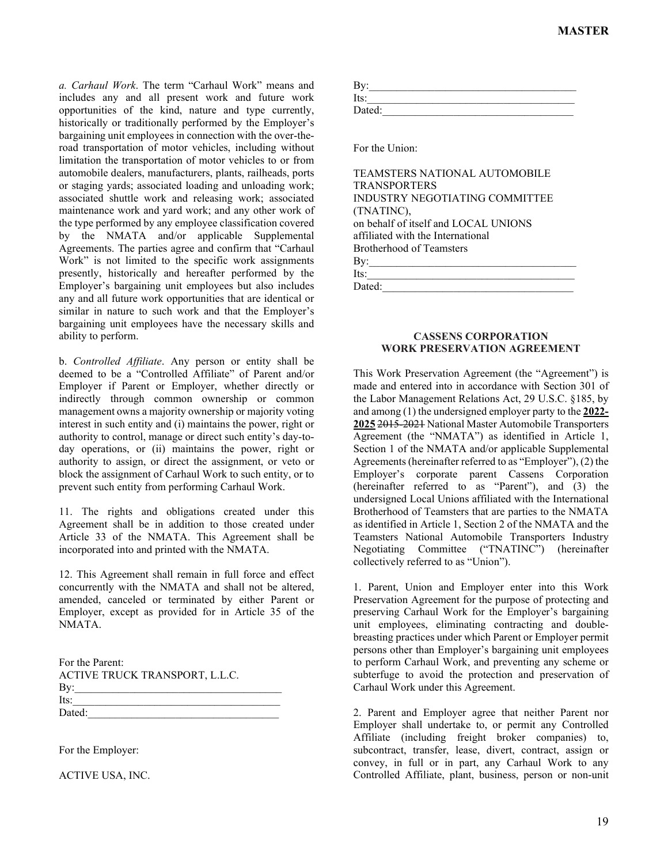*a. Carhaul Work*. The term "Carhaul Work" means and includes any and all present work and future work opportunities of the kind, nature and type currently, historically or traditionally performed by the Employer's bargaining unit employees in connection with the over-theroad transportation of motor vehicles, including without limitation the transportation of motor vehicles to or from automobile dealers, manufacturers, plants, railheads, ports or staging yards; associated loading and unloading work; associated shuttle work and releasing work; associated maintenance work and yard work; and any other work of the type performed by any employee classification covered by the NMATA and/or applicable Supplemental Agreements. The parties agree and confirm that "Carhaul Work" is not limited to the specific work assignments presently, historically and hereafter performed by the Employer's bargaining unit employees but also includes any and all future work opportunities that are identical or similar in nature to such work and that the Employer's bargaining unit employees have the necessary skills and ability to perform.

b. *Controlled Affiliate*. Any person or entity shall be deemed to be a "Controlled Affiliate" of Parent and/or Employer if Parent or Employer, whether directly or indirectly through common ownership or common management owns a majority ownership or majority voting interest in such entity and (i) maintains the power, right or authority to control, manage or direct such entity's day-today operations, or (ii) maintains the power, right or authority to assign, or direct the assignment, or veto or block the assignment of Carhaul Work to such entity, or to prevent such entity from performing Carhaul Work.

11. The rights and obligations created under this Agreement shall be in addition to those created under Article 33 of the NMATA. This Agreement shall be incorporated into and printed with the NMATA.

12. This Agreement shall remain in full force and effect concurrently with the NMATA and shall not be altered, amended, canceled or terminated by either Parent or Employer, except as provided for in Article 35 of the NMATA.

| For the Parent:                |  |
|--------------------------------|--|
| ACTIVE TRUCK TRANSPORT, L.L.C. |  |
| By:                            |  |
| Its:                           |  |
| Dated:                         |  |

For the Employer:

ACTIVE USA, INC.

| By:    |  |  |  |
|--------|--|--|--|
| Its:   |  |  |  |
| Dated: |  |  |  |

For the Union:

## **CASSENS CORPORATION WORK PRESERVATION AGREEMENT**

This Work Preservation Agreement (the "Agreement") is made and entered into in accordance with Section 301 of the Labor Management Relations Act, 29 U.S.C. §185, by and among (1) the undersigned employer party to the **2022- 2025** 2015-2021 National Master Automobile Transporters Agreement (the "NMATA") as identified in Article 1, Section 1 of the NMATA and/or applicable Supplemental Agreements (hereinafter referred to as "Employer"), (2) the Employer's corporate parent Cassens Corporation (hereinafter referred to as "Parent"), and (3) the undersigned Local Unions affiliated with the International Brotherhood of Teamsters that are parties to the NMATA as identified in Article 1, Section 2 of the NMATA and the Teamsters National Automobile Transporters Industry Negotiating Committee ("TNATINC") (hereinafter collectively referred to as "Union").

1. Parent, Union and Employer enter into this Work Preservation Agreement for the purpose of protecting and preserving Carhaul Work for the Employer's bargaining unit employees, eliminating contracting and doublebreasting practices under which Parent or Employer permit persons other than Employer's bargaining unit employees to perform Carhaul Work, and preventing any scheme or subterfuge to avoid the protection and preservation of Carhaul Work under this Agreement.

2. Parent and Employer agree that neither Parent nor Employer shall undertake to, or permit any Controlled Affiliate (including freight broker companies) to, subcontract, transfer, lease, divert, contract, assign or convey, in full or in part, any Carhaul Work to any Controlled Affiliate, plant, business, person or non-unit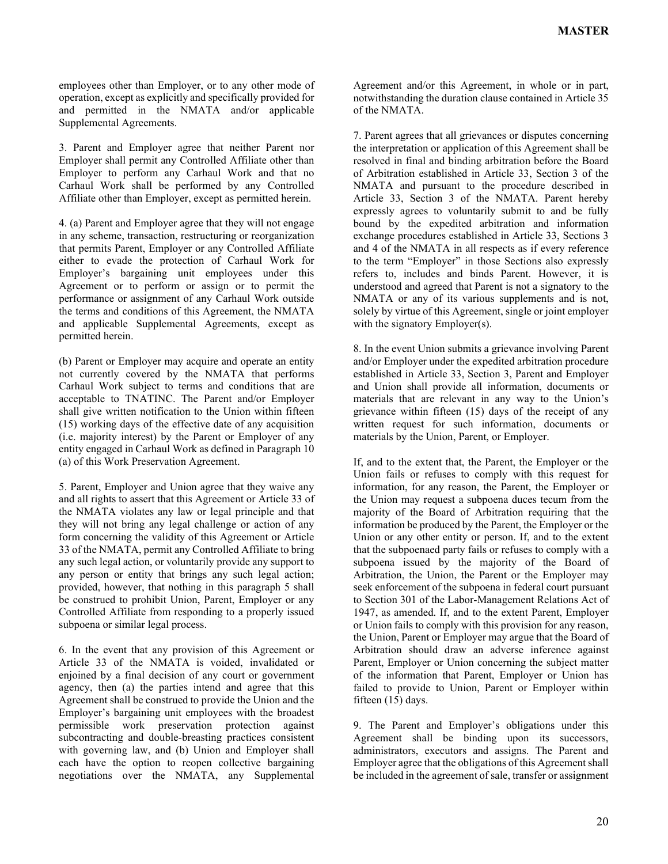employees other than Employer, or to any other mode of operation, except as explicitly and specifically provided for and permitted in the NMATA and/or applicable Supplemental Agreements.

3. Parent and Employer agree that neither Parent nor Employer shall permit any Controlled Affiliate other than Employer to perform any Carhaul Work and that no Carhaul Work shall be performed by any Controlled Affiliate other than Employer, except as permitted herein.

4. (a) Parent and Employer agree that they will not engage in any scheme, transaction, restructuring or reorganization that permits Parent, Employer or any Controlled Affiliate either to evade the protection of Carhaul Work for Employer's bargaining unit employees under this Agreement or to perform or assign or to permit the performance or assignment of any Carhaul Work outside the terms and conditions of this Agreement, the NMATA and applicable Supplemental Agreements, except as permitted herein.

(b) Parent or Employer may acquire and operate an entity not currently covered by the NMATA that performs Carhaul Work subject to terms and conditions that are acceptable to TNATINC. The Parent and/or Employer shall give written notification to the Union within fifteen (15) working days of the effective date of any acquisition (i.e. majority interest) by the Parent or Employer of any entity engaged in Carhaul Work as defined in Paragraph 10 (a) of this Work Preservation Agreement.

5. Parent, Employer and Union agree that they waive any and all rights to assert that this Agreement or Article 33 of the NMATA violates any law or legal principle and that they will not bring any legal challenge or action of any form concerning the validity of this Agreement or Article 33 of the NMATA, permit any Controlled Affiliate to bring any such legal action, or voluntarily provide any support to any person or entity that brings any such legal action; provided, however, that nothing in this paragraph 5 shall be construed to prohibit Union, Parent, Employer or any Controlled Affiliate from responding to a properly issued subpoena or similar legal process.

6. In the event that any provision of this Agreement or Article 33 of the NMATA is voided, invalidated or enjoined by a final decision of any court or government agency, then (a) the parties intend and agree that this Agreement shall be construed to provide the Union and the Employer's bargaining unit employees with the broadest permissible work preservation protection against subcontracting and double-breasting practices consistent with governing law, and (b) Union and Employer shall each have the option to reopen collective bargaining negotiations over the NMATA, any Supplemental

Agreement and/or this Agreement, in whole or in part, notwithstanding the duration clause contained in Article 35 of the NMATA.

7. Parent agrees that all grievances or disputes concerning the interpretation or application of this Agreement shall be resolved in final and binding arbitration before the Board of Arbitration established in Article 33, Section 3 of the NMATA and pursuant to the procedure described in Article 33, Section 3 of the NMATA. Parent hereby expressly agrees to voluntarily submit to and be fully bound by the expedited arbitration and information exchange procedures established in Article 33, Sections 3 and 4 of the NMATA in all respects as if every reference to the term "Employer" in those Sections also expressly refers to, includes and binds Parent. However, it is understood and agreed that Parent is not a signatory to the NMATA or any of its various supplements and is not, solely by virtue of this Agreement, single or joint employer with the signatory Employer(s).

8. In the event Union submits a grievance involving Parent and/or Employer under the expedited arbitration procedure established in Article 33, Section 3, Parent and Employer and Union shall provide all information, documents or materials that are relevant in any way to the Union's grievance within fifteen (15) days of the receipt of any written request for such information, documents or materials by the Union, Parent, or Employer.

If, and to the extent that, the Parent, the Employer or the Union fails or refuses to comply with this request for information, for any reason, the Parent, the Employer or the Union may request a subpoena duces tecum from the majority of the Board of Arbitration requiring that the information be produced by the Parent, the Employer or the Union or any other entity or person. If, and to the extent that the subpoenaed party fails or refuses to comply with a subpoena issued by the majority of the Board of Arbitration, the Union, the Parent or the Employer may seek enforcement of the subpoena in federal court pursuant to Section 301 of the Labor-Management Relations Act of 1947, as amended. If, and to the extent Parent, Employer or Union fails to comply with this provision for any reason, the Union, Parent or Employer may argue that the Board of Arbitration should draw an adverse inference against Parent, Employer or Union concerning the subject matter of the information that Parent, Employer or Union has failed to provide to Union, Parent or Employer within fifteen (15) days.

9. The Parent and Employer's obligations under this Agreement shall be binding upon its successors, administrators, executors and assigns. The Parent and Employer agree that the obligations of this Agreement shall be included in the agreement of sale, transfer or assignment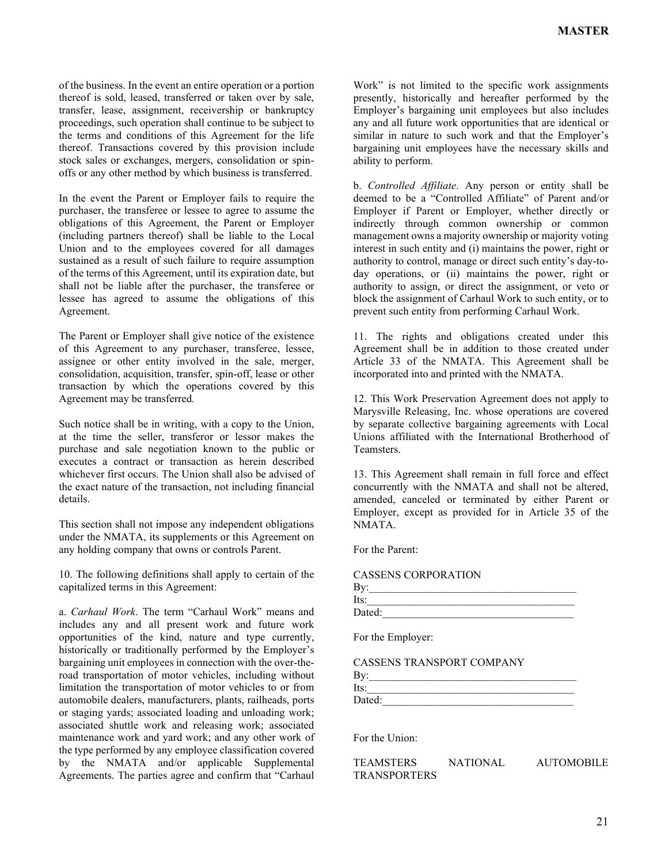of the business. In the event an entire operation or a portion thereof is sold, leased, transferred or taken over by sale, transfer, lease, assignment, receivership or bankruptcy proceedings, such operation shall continue to be subject to the terms and conditions of this Agreement for the life thereof. Transactions covered by this provision include stock sales or exchanges, mergers, consolidation or spinoffs or any other method by which business is transferred.

In the event the Parent or Employer fails to require the purchaser, the transferee or lessee to agree to assume the obligations of this Agreement, the Parent or Employer (including partners thereof) shall be liable to the Local Union and to the employees covered for all damages sustained as a result of such failure to require assumption of the terms of this Agreement, until its expiration date, but shall not be liable after the purchaser, the transferee or lessee has agreed to assume the obligations of this Agreement.

The Parent or Employer shall give notice of the existence of this Agreement to any purchaser, transferee, lessee, assignee or other entity involved in the sale, merger, consolidation, acquisition, transfer, spin-off, lease or other transaction by which the operations covered by this Agreement may be transferred.

Such notice shall be in writing, with a copy to the Union, at the time the seller, transferor or lessor makes the purchase and sale negotiation known to the public or executes a contract or transaction as herein described whichever first occurs. The Union shall also be advised of the exact nature of the transaction, not including financial details.

This section shall not impose any independent obligations under the NMATA, its supplements or this Agreement on any holding company that owns or controls Parent.

10. The following definitions shall apply to certain of the capitalized terms in this Agreement:

a. *Carhaul Work*. The term "Carhaul Work" means and includes any and all present work and future work opportunities of the kind, nature and type currently, historically or traditionally performed by the Employer's bargaining unit employees in connection with the over-theroad transportation of motor vehicles, including without limitation the transportation of motor vehicles to or from automobile dealers, manufacturers, plants, railheads, ports or staging yards; associated loading and unloading work; associated shuttle work and releasing work; associated maintenance work and yard work; and any other work of the type performed by any employee classification covered by the NMATA and/or applicable Supplemental Agreements. The parties agree and confirm that "Carhaul

Work" is not limited to the specific work assignments presently, historically and hereafter performed by the Employer's bargaining unit employees but also includes any and all future work opportunities that are identical or similar in nature to such work and that the Employer's bargaining unit employees have the necessary skills and ability to perform.

b. *Controlled Affiliate*. Any person or entity shall be deemed to be a "Controlled Affiliate" of Parent and/or Employer if Parent or Employer, whether directly or indirectly through common ownership or common management owns a majority ownership or majority voting interest in such entity and (i) maintains the power, right or authority to control, manage or direct such entity's day-today operations, or (ii) maintains the power, right or authority to assign, or direct the assignment, or veto or block the assignment of Carhaul Work to such entity, or to prevent such entity from performing Carhaul Work.

11. The rights and obligations created under this Agreement shall be in addition to those created under Article 33 of the NMATA. This Agreement shall be incorporated into and printed with the NMATA.

12. This Work Preservation Agreement does not apply to Marysville Releasing, Inc. whose operations are covered by separate collective bargaining agreements with Local Unions affiliated with the International Brotherhood of Teamsters.

13. This Agreement shall remain in full force and effect concurrently with the NMATA and shall not be altered, amended, canceled or terminated by either Parent or Employer, except as provided for in Article 35 of the NMATA.

For the Parent:

| CASSENS CORPORATION |  |
|---------------------|--|
|---------------------|--|

| Bv:    |  |  |  |
|--------|--|--|--|
| Its:   |  |  |  |
| Dated: |  |  |  |

For the Employer:

CASSENS TRANSPORT COMPANY

| By:    |  |  |  |
|--------|--|--|--|
| Its:   |  |  |  |
| Dated: |  |  |  |

For the Union:

TEAMSTERS NATIONAL AUTOMOBILE TRANSPORTERS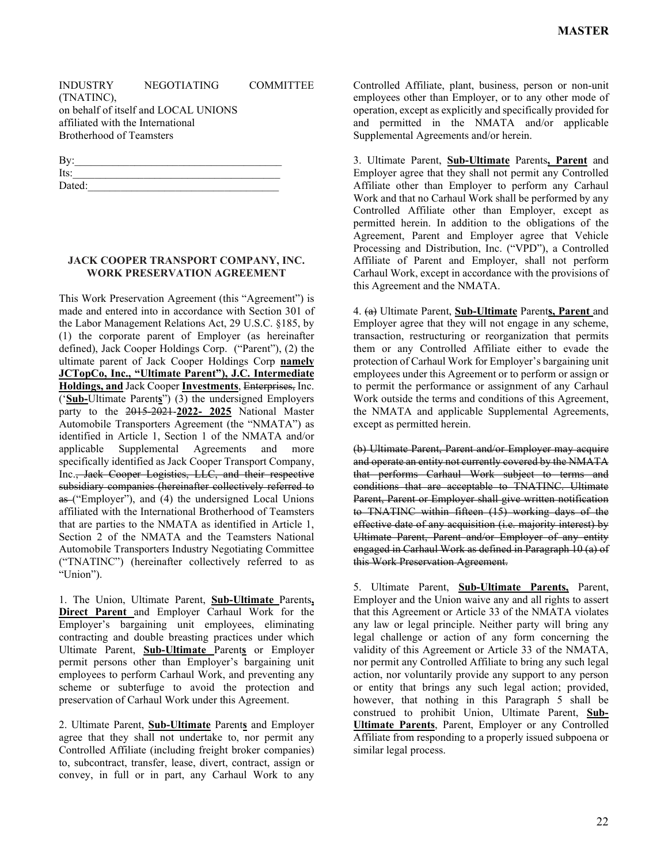(TNATINC),

on behalf of itself and LOCAL UNIONS affiliated with the International Brotherhood of Teamsters

| By:    |  |  |  |
|--------|--|--|--|
| Its:   |  |  |  |
| Dated: |  |  |  |

## **JACK COOPER TRANSPORT COMPANY, INC. WORK PRESERVATION AGREEMENT**

This Work Preservation Agreement (this "Agreement") is made and entered into in accordance with Section 301 of the Labor Management Relations Act, 29 U.S.C. §185, by (1) the corporate parent of Employer (as hereinafter defined), Jack Cooper Holdings Corp. ("Parent"), (2) the ultimate parent of Jack Cooper Holdings Corp **namely JCTopCo, Inc., "Ultimate Parent"), J.C. Intermediate Holdings, and** Jack Cooper **Investments**, Enterprises, Inc. ('**Sub-**Ultimate Parent**s**") (3) the undersigned Employers party to the 2015-2021-**2022- 2025** National Master Automobile Transporters Agreement (the "NMATA") as identified in Article 1, Section 1 of the NMATA and/or applicable Supplemental Agreements and more specifically identified as Jack Cooper Transport Company, Inc., Jack Cooper Logistics, LLC, and their respective subsidiary companies (hereinafter collectively referred to as ("Employer"), and (4) the undersigned Local Unions affiliated with the International Brotherhood of Teamsters that are parties to the NMATA as identified in Article 1, Section 2 of the NMATA and the Teamsters National Automobile Transporters Industry Negotiating Committee ("TNATINC") (hereinafter collectively referred to as "Union").

1. The Union, Ultimate Parent, **Sub-Ultimate** Parents**, Direct Parent** and Employer Carhaul Work for the Employer's bargaining unit employees, eliminating contracting and double breasting practices under which Ultimate Parent, **Sub-Ultimate** Parent**s** or Employer permit persons other than Employer's bargaining unit employees to perform Carhaul Work, and preventing any scheme or subterfuge to avoid the protection and preservation of Carhaul Work under this Agreement.

2. Ultimate Parent, **Sub-Ultimate** Parent**s** and Employer agree that they shall not undertake to, nor permit any Controlled Affiliate (including freight broker companies) to, subcontract, transfer, lease, divert, contract, assign or convey, in full or in part, any Carhaul Work to any Controlled Affiliate, plant, business, person or non-unit employees other than Employer, or to any other mode of operation, except as explicitly and specifically provided for and permitted in the NMATA and/or applicable Supplemental Agreements and/or herein.

3. Ultimate Parent, **Sub-Ultimate** Parents**, Parent** and Employer agree that they shall not permit any Controlled Affiliate other than Employer to perform any Carhaul Work and that no Carhaul Work shall be performed by any Controlled Affiliate other than Employer, except as permitted herein. In addition to the obligations of the Agreement, Parent and Employer agree that Vehicle Processing and Distribution, Inc. ("VPD"), a Controlled Affiliate of Parent and Employer, shall not perform Carhaul Work, except in accordance with the provisions of this Agreement and the NMATA.

4. (a) Ultimate Parent, **Sub-Ultimate** Parent**s, Parent** and Employer agree that they will not engage in any scheme, transaction, restructuring or reorganization that permits them or any Controlled Affiliate either to evade the protection of Carhaul Work for Employer's bargaining unit employees under this Agreement or to perform or assign or to permit the performance or assignment of any Carhaul Work outside the terms and conditions of this Agreement, the NMATA and applicable Supplemental Agreements, except as permitted herein.

(b) Ultimate Parent, Parent and/or Employer may acquire and operate an entity not currently covered by the NMATA that performs Carhaul Work subject to terms and conditions that are acceptable to TNATINC. Ultimate Parent, Parent or Employer shall give written notification to TNATINC within fifteen (15) working days of the effective date of any acquisition (i.e. majority interest) by Ultimate Parent, Parent and/or Employer of any entity engaged in Carhaul Work as defined in Paragraph 10 (a) of this Work Preservation Agreement.

5. Ultimate Parent, **Sub-Ultimate Parents,** Parent, Employer and the Union waive any and all rights to assert that this Agreement or Article 33 of the NMATA violates any law or legal principle. Neither party will bring any legal challenge or action of any form concerning the validity of this Agreement or Article 33 of the NMATA, nor permit any Controlled Affiliate to bring any such legal action, nor voluntarily provide any support to any person or entity that brings any such legal action; provided, however, that nothing in this Paragraph 5 shall be construed to prohibit Union, Ultimate Parent, **Sub-Ultimate Parents**, Parent, Employer or any Controlled Affiliate from responding to a properly issued subpoena or similar legal process.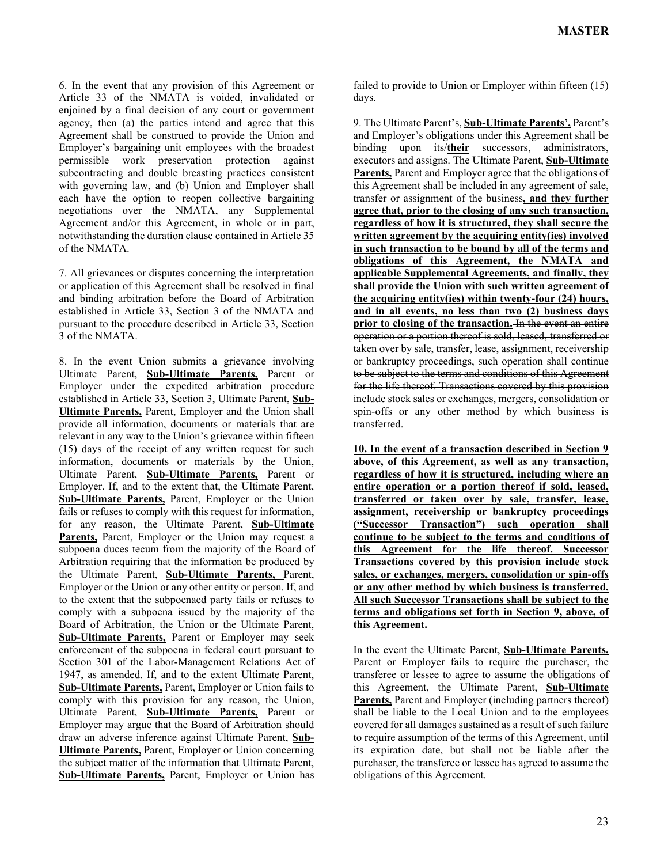6. In the event that any provision of this Agreement or Article 33 of the NMATA is voided, invalidated or enjoined by a final decision of any court or government agency, then (a) the parties intend and agree that this Agreement shall be construed to provide the Union and Employer's bargaining unit employees with the broadest permissible work preservation protection against subcontracting and double breasting practices consistent with governing law, and (b) Union and Employer shall each have the option to reopen collective bargaining negotiations over the NMATA, any Supplemental Agreement and/or this Agreement, in whole or in part, notwithstanding the duration clause contained in Article 35 of the NMATA.

7. All grievances or disputes concerning the interpretation or application of this Agreement shall be resolved in final and binding arbitration before the Board of Arbitration established in Article 33, Section 3 of the NMATA and pursuant to the procedure described in Article 33, Section 3 of the NMATA.

8. In the event Union submits a grievance involving Ultimate Parent, **Sub-Ultimate Parents,** Parent or Employer under the expedited arbitration procedure established in Article 33, Section 3, Ultimate Parent, **Sub-Ultimate Parents,** Parent, Employer and the Union shall provide all information, documents or materials that are relevant in any way to the Union's grievance within fifteen (15) days of the receipt of any written request for such information, documents or materials by the Union, Ultimate Parent, **Sub-Ultimate Parents,** Parent or Employer. If, and to the extent that, the Ultimate Parent, **Sub-Ultimate Parents,** Parent, Employer or the Union fails or refuses to comply with this request for information, for any reason, the Ultimate Parent, **Sub-Ultimate Parents,** Parent, Employer or the Union may request a subpoena duces tecum from the majority of the Board of Arbitration requiring that the information be produced by the Ultimate Parent, **Sub-Ultimate Parents,** Parent, Employer or the Union or any other entity or person. If, and to the extent that the subpoenaed party fails or refuses to comply with a subpoena issued by the majority of the Board of Arbitration, the Union or the Ultimate Parent, **Sub-Ultimate Parents,** Parent or Employer may seek enforcement of the subpoena in federal court pursuant to Section 301 of the Labor-Management Relations Act of 1947, as amended. If, and to the extent Ultimate Parent, **Sub-Ultimate Parents,** Parent, Employer or Union fails to comply with this provision for any reason, the Union, Ultimate Parent, **Sub-Ultimate Parents,** Parent or Employer may argue that the Board of Arbitration should draw an adverse inference against Ultimate Parent, **Sub-Ultimate Parents,** Parent, Employer or Union concerning the subject matter of the information that Ultimate Parent, **Sub-Ultimate Parents,** Parent, Employer or Union has

failed to provide to Union or Employer within fifteen (15) days.

9. The Ultimate Parent's, **Sub-Ultimate Parents',** Parent's and Employer's obligations under this Agreement shall be binding upon its/**their** successors, administrators, executors and assigns. The Ultimate Parent, **Sub-Ultimate Parents,** Parent and Employer agree that the obligations of this Agreement shall be included in any agreement of sale, transfer or assignment of the business**, and they further agree that, prior to the closing of any such transaction, regardless of how it is structured, they shall secure the written agreement by the acquiring entity(ies) involved in such transaction to be bound by all of the terms and obligations of this Agreement, the NMATA and applicable Supplemental Agreements, and finally, they shall provide the Union with such written agreement of the acquiring entity(ies) within twenty-four (24) hours, and in all events, no less than two (2) business days prior to closing of the transaction.** In the event an entire operation or a portion thereof is sold, leased, transferred or taken over by sale, transfer, lease, assignment, receivership or bankruptcy proceedings, such operation shall continue to be subject to the terms and conditions of this Agreement for the life thereof. Transactions covered by this provision include stock sales or exchanges, mergers, consolidation or spin-offs or any other method by which business is transferred.

**10. In the event of a transaction described in Section 9 above, of this Agreement, as well as any transaction, regardless of how it is structured, including where an entire operation or a portion thereof if sold, leased, transferred or taken over by sale, transfer, lease, assignment, receivership or bankruptcy proceedings ("Successor Transaction") such operation shall continue to be subject to the terms and conditions of this Agreement for the life thereof. Successor Transactions covered by this provision include stock sales, or exchanges, mergers, consolidation or spin-offs or any other method by which business is transferred. All such Successor Transactions shall be subject to the terms and obligations set forth in Section 9, above, of this Agreement.**

In the event the Ultimate Parent, **Sub-Ultimate Parents,** Parent or Employer fails to require the purchaser, the transferee or lessee to agree to assume the obligations of this Agreement, the Ultimate Parent, **Sub-Ultimate Parents,** Parent and Employer (including partners thereof) shall be liable to the Local Union and to the employees covered for all damages sustained as a result of such failure to require assumption of the terms of this Agreement, until its expiration date, but shall not be liable after the purchaser, the transferee or lessee has agreed to assume the obligations of this Agreement.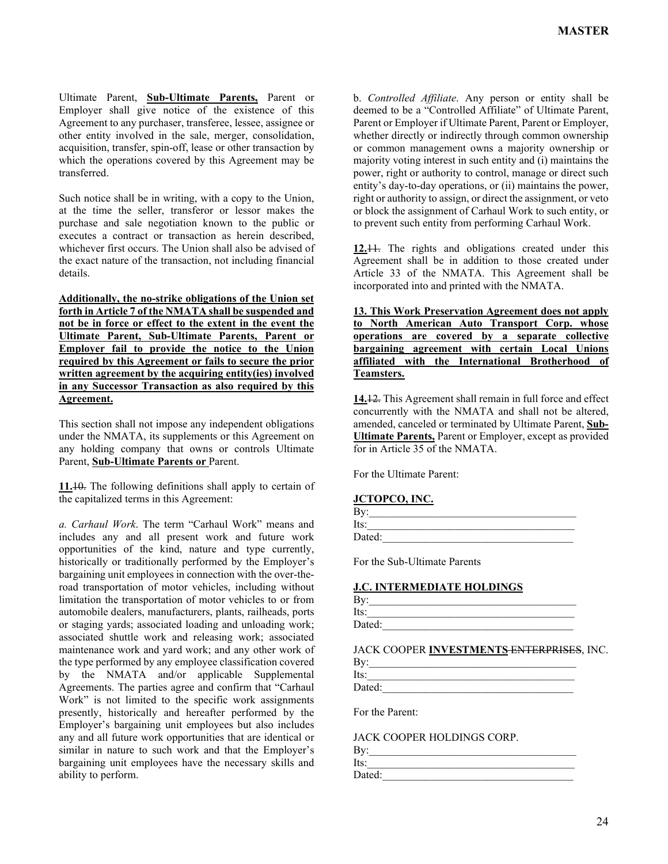Ultimate Parent, **Sub-Ultimate Parents,** Parent or Employer shall give notice of the existence of this Agreement to any purchaser, transferee, lessee, assignee or other entity involved in the sale, merger, consolidation, acquisition, transfer, spin-off, lease or other transaction by which the operations covered by this Agreement may be transferred.

Such notice shall be in writing, with a copy to the Union, at the time the seller, transferor or lessor makes the purchase and sale negotiation known to the public or executes a contract or transaction as herein described, whichever first occurs. The Union shall also be advised of the exact nature of the transaction, not including financial details.

**Additionally, the no-strike obligations of the Union set forth in Article 7 of the NMATA shall be suspended and not be in force or effect to the extent in the event the Ultimate Parent, Sub-Ultimate Parents, Parent or Employer fail to provide the notice to the Union required by this Agreement or fails to secure the prior written agreement by the acquiring entity(ies) involved in any Successor Transaction as also required by this Agreement.**

This section shall not impose any independent obligations under the NMATA, its supplements or this Agreement on any holding company that owns or controls Ultimate Parent, **Sub-Ultimate Parents or** Parent.

**11.**10. The following definitions shall apply to certain of the capitalized terms in this Agreement:

*a. Carhaul Work*. The term "Carhaul Work" means and includes any and all present work and future work opportunities of the kind, nature and type currently, historically or traditionally performed by the Employer's bargaining unit employees in connection with the over-theroad transportation of motor vehicles, including without limitation the transportation of motor vehicles to or from automobile dealers, manufacturers, plants, railheads, ports or staging yards; associated loading and unloading work; associated shuttle work and releasing work; associated maintenance work and yard work; and any other work of the type performed by any employee classification covered by the NMATA and/or applicable Supplemental Agreements. The parties agree and confirm that "Carhaul Work" is not limited to the specific work assignments presently, historically and hereafter performed by the Employer's bargaining unit employees but also includes any and all future work opportunities that are identical or similar in nature to such work and that the Employer's bargaining unit employees have the necessary skills and ability to perform.

b. *Controlled Affiliate*. Any person or entity shall be deemed to be a "Controlled Affiliate" of Ultimate Parent, Parent or Employer if Ultimate Parent, Parent or Employer, whether directly or indirectly through common ownership or common management owns a majority ownership or majority voting interest in such entity and (i) maintains the power, right or authority to control, manage or direct such entity's day-to-day operations, or (ii) maintains the power, right or authority to assign, or direct the assignment, or veto or block the assignment of Carhaul Work to such entity, or to prevent such entity from performing Carhaul Work.

**12.**11. The rights and obligations created under this Agreement shall be in addition to those created under Article 33 of the NMATA. This Agreement shall be incorporated into and printed with the NMATA.

**13. This Work Preservation Agreement does not apply to North American Auto Transport Corp. whose operations are covered by a separate collective bargaining agreement with certain Local Unions affiliated with the International Brotherhood of Teamsters.**

**14.**12. This Agreement shall remain in full force and effect concurrently with the NMATA and shall not be altered, amended, canceled or terminated by Ultimate Parent, **Sub-Ultimate Parents,** Parent or Employer, except as provided for in Article 35 of the NMATA.

For the Ultimate Parent:

**JCTOPCO, INC.**

| By:    |  |  |  |
|--------|--|--|--|
| Its:   |  |  |  |
| Dated: |  |  |  |

For the Sub-Ultimate Parents

#### **J.C. INTERMEDIATE HOLDINGS**

Dated:

JACK COOPER **INVESTMENTS** ENTERPRISES, INC.

| By:    |  |  |  |
|--------|--|--|--|
| Its:   |  |  |  |
| Dated: |  |  |  |

For the Parent:

JACK COOPER HOLDINGS CORP.

| ח |  |  |  |
|---|--|--|--|
| - |  |  |  |

 $Its:$ Dated: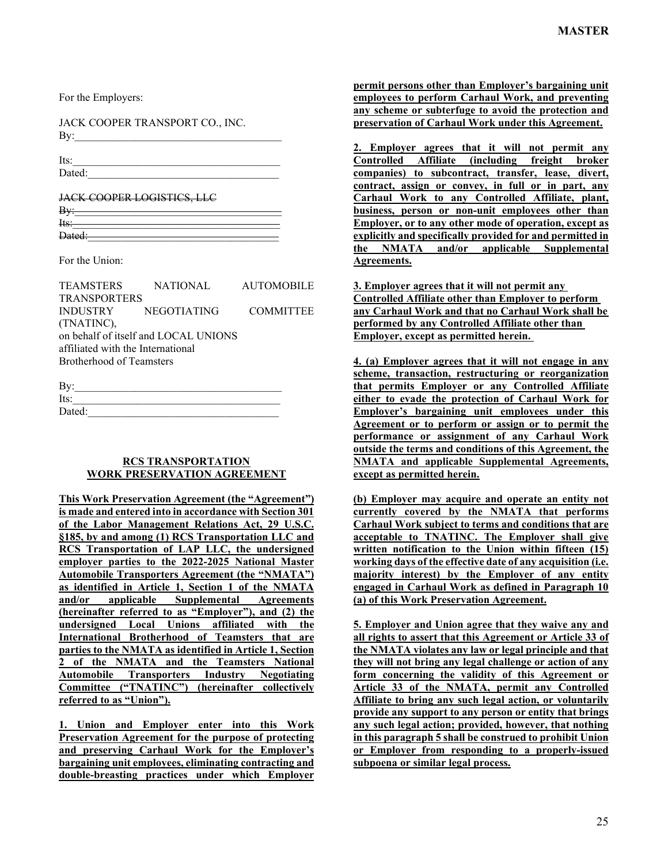For the Employers:

JACK COOPER TRANSPORT CO., INC.  $\rm\,By:$ 

Its:  $\frac{1}{2}$ 

Dated:

JACK COOPER LOGISTICS, LLC

| <b>By:</b> |  |  |  |
|------------|--|--|--|
|            |  |  |  |
| Hts:       |  |  |  |
|            |  |  |  |
| Dated:     |  |  |  |
|            |  |  |  |

For the Union:

|                                   | TEAMSTERS NATIONAL AUTOMOBILE        |  |  |  |  |
|-----------------------------------|--------------------------------------|--|--|--|--|
| <b>TRANSPORTERS</b>               |                                      |  |  |  |  |
|                                   | INDUSTRY NEGOTIATING COMMITTEE       |  |  |  |  |
| (TNATINC),                        |                                      |  |  |  |  |
|                                   | on behalf of itself and LOCAL UNIONS |  |  |  |  |
| affiliated with the International |                                      |  |  |  |  |
| Brotherhood of Teamsters          |                                      |  |  |  |  |
|                                   |                                      |  |  |  |  |

| $\rm{By:}$ |  |  |
|------------|--|--|
| Its:       |  |  |
| Dated:     |  |  |

## **RCS TRANSPORTATION WORK PRESERVATION AGREEMENT**

**This Work Preservation Agreement (the "Agreement") is made and entered into in accordance with Section 301 of the Labor Management Relations Act, 29 U.S.C. §185, by and among (1) RCS Transportation LLC and RCS Transportation of LAP LLC, the undersigned employer parties to the 2022-2025 National Master Automobile Transporters Agreement (the "NMATA") as identified in Article 1, Section 1 of the NMATA and/or applicable Supplemental Agreements (hereinafter referred to as "Employer"), and (2) the undersigned Local Unions affiliated with the International Brotherhood of Teamsters that are parties to the NMATA as identified in Article 1, Section 2 of the NMATA and the Teamsters National Automobile Transporters Industry Negotiating Committee ("TNATINC") (hereinafter collectively referred to as "Union").**

**1. Union and Employer enter into this Work Preservation Agreement for the purpose of protecting and preserving Carhaul Work for the Employer's bargaining unit employees, eliminating contracting and double-breasting practices under which Employer**  **permit persons other than Employer's bargaining unit employees to perform Carhaul Work, and preventing any scheme or subterfuge to avoid the protection and preservation of Carhaul Work under this Agreement.**

**2. Employer agrees that it will not permit any Controlled Affiliate (including freight broker companies) to subcontract, transfer, lease, divert, contract, assign or convey, in full or in part, any Carhaul Work to any Controlled Affiliate, plant, business, person or non-unit employees other than Employer, or to any other mode of operation, except as explicitly and specifically provided for and permitted in the NMATA and/or applicable Supplemental Agreements.**

**3. Employer agrees that it will not permit any Controlled Affiliate other than Employer to perform any Carhaul Work and that no Carhaul Work shall be performed by any Controlled Affiliate other than Employer, except as permitted herein.** 

**4. (a) Employer agrees that it will not engage in any scheme, transaction, restructuring or reorganization that permits Employer or any Controlled Affiliate either to evade the protection of Carhaul Work for Employer's bargaining unit employees under this Agreement or to perform or assign or to permit the performance or assignment of any Carhaul Work outside the terms and conditions of this Agreement, the NMATA and applicable Supplemental Agreements, except as permitted herein.**

**(b) Employer may acquire and operate an entity not currently covered by the NMATA that performs Carhaul Work subject to terms and conditions that are acceptable to TNATINC. The Employer shall give written notification to the Union within fifteen (15) working days of the effective date of any acquisition (i.e. majority interest) by the Employer of any entity engaged in Carhaul Work as defined in Paragraph 10 (a) of this Work Preservation Agreement.**

**5. Employer and Union agree that they waive any and all rights to assert that this Agreement or Article 33 of the NMATA violates any law or legal principle and that they will not bring any legal challenge or action of any form concerning the validity of this Agreement or Article 33 of the NMATA, permit any Controlled Affiliate to bring any such legal action, or voluntarily provide any support to any person or entity that brings any such legal action; provided, however, that nothing in this paragraph 5 shall be construed to prohibit Union or Employer from responding to a properly-issued subpoena or similar legal process.**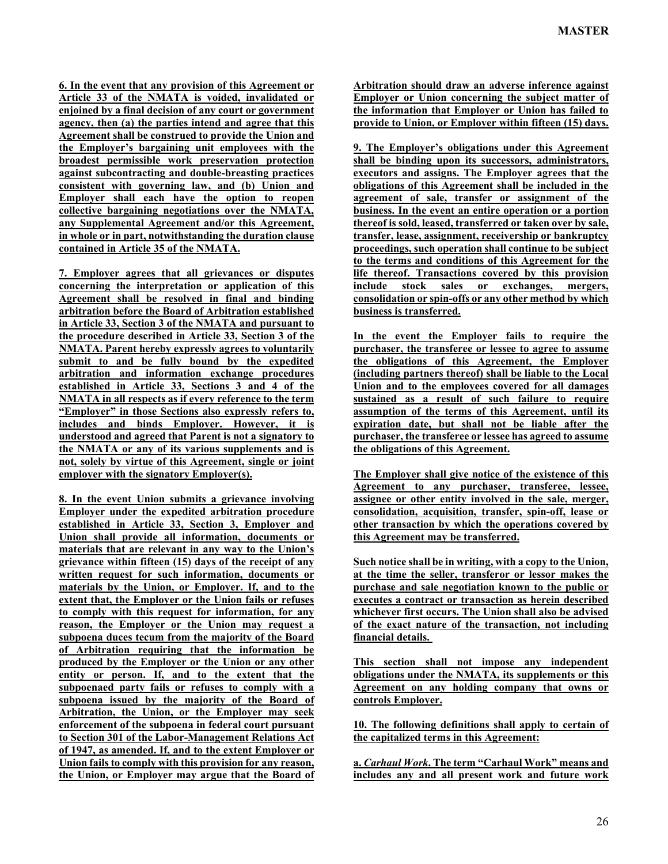**6. In the event that any provision of this Agreement or Article 33 of the NMATA is voided, invalidated or enjoined by a final decision of any court or government agency, then (a) the parties intend and agree that this Agreement shall be construed to provide the Union and the Employer's bargaining unit employees with the broadest permissible work preservation protection against subcontracting and double-breasting practices consistent with governing law, and (b) Union and Employer shall each have the option to reopen collective bargaining negotiations over the NMATA, any Supplemental Agreement and/or this Agreement, in whole or in part, notwithstanding the duration clause contained in Article 35 of the NMATA.**

**7. Employer agrees that all grievances or disputes concerning the interpretation or application of this Agreement shall be resolved in final and binding arbitration before the Board of Arbitration established in Article 33, Section 3 of the NMATA and pursuant to the procedure described in Article 33, Section 3 of the NMATA. Parent hereby expressly agrees to voluntarily submit to and be fully bound by the expedited arbitration and information exchange procedures established in Article 33, Sections 3 and 4 of the NMATA in all respects as if every reference to the term "Employer" in those Sections also expressly refers to, includes and binds Employer. However, it is understood and agreed that Parent is not a signatory to the NMATA or any of its various supplements and is not, solely by virtue of this Agreement, single or joint employer with the signatory Employer(s).**

**8. In the event Union submits a grievance involving Employer under the expedited arbitration procedure established in Article 33, Section 3, Employer and Union shall provide all information, documents or materials that are relevant in any way to the Union's grievance within fifteen (15) days of the receipt of any written request for such information, documents or materials by the Union, or Employer. If, and to the extent that, the Employer or the Union fails or refuses to comply with this request for information, for any reason, the Employer or the Union may request a subpoena duces tecum from the majority of the Board of Arbitration requiring that the information be produced by the Employer or the Union or any other entity or person. If, and to the extent that the subpoenaed party fails or refuses to comply with a subpoena issued by the majority of the Board of Arbitration, the Union, or the Employer may seek enforcement of the subpoena in federal court pursuant to Section 301 of the Labor-Management Relations Act of 1947, as amended. If, and to the extent Employer or Union fails to comply with this provision for any reason, the Union, or Employer may argue that the Board of**  **Arbitration should draw an adverse inference against Employer or Union concerning the subject matter of the information that Employer or Union has failed to provide to Union, or Employer within fifteen (15) days.**

**9. The Employer's obligations under this Agreement shall be binding upon its successors, administrators, executors and assigns. The Employer agrees that the obligations of this Agreement shall be included in the agreement of sale, transfer or assignment of the business. In the event an entire operation or a portion thereof is sold, leased, transferred or taken over by sale, transfer, lease, assignment, receivership or bankruptcy proceedings, such operation shall continue to be subject to the terms and conditions of this Agreement for the life thereof. Transactions covered by this provision include stock sales or exchanges, mergers, consolidation or spin-offs or any other method by which business is transferred.**

**In the event the Employer fails to require the purchaser, the transferee or lessee to agree to assume the obligations of this Agreement, the Employer (including partners thereof) shall be liable to the Local Union and to the employees covered for all damages sustained as a result of such failure to require assumption of the terms of this Agreement, until its expiration date, but shall not be liable after the purchaser, the transferee or lessee has agreed to assume the obligations of this Agreement.**

**The Employer shall give notice of the existence of this Agreement to any purchaser, transferee, lessee, assignee or other entity involved in the sale, merger, consolidation, acquisition, transfer, spin-off, lease or other transaction by which the operations covered by this Agreement may be transferred.**

**Such notice shall be in writing, with a copy to the Union, at the time the seller, transferor or lessor makes the purchase and sale negotiation known to the public or executes a contract or transaction as herein described whichever first occurs. The Union shall also be advised of the exact nature of the transaction, not including financial details.** 

**This section shall not impose any independent obligations under the NMATA, its supplements or this Agreement on any holding company that owns or controls Employer.**

**10. The following definitions shall apply to certain of the capitalized terms in this Agreement:**

**a.** *Carhaul Work***. The term "Carhaul Work" means and includes any and all present work and future work**